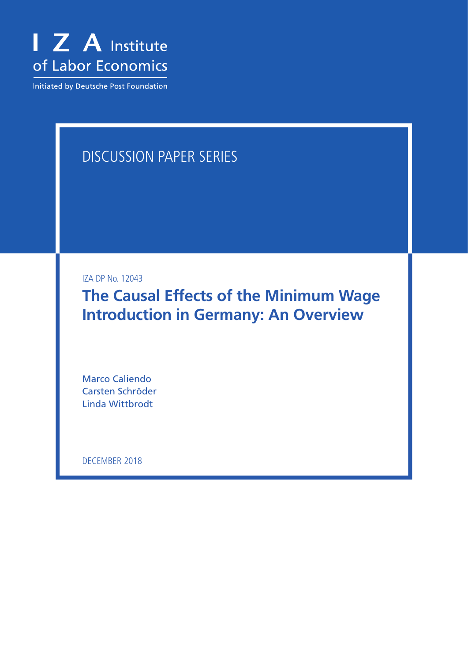

Initiated by Deutsche Post Foundation

# DISCUSSION PAPER SERIES

IZA DP No. 12043

**The Causal Effects of the Minimum Wage Introduction in Germany: An Overview**

Marco Caliendo Carsten Schröder Linda Wittbrodt

DECEMBER 2018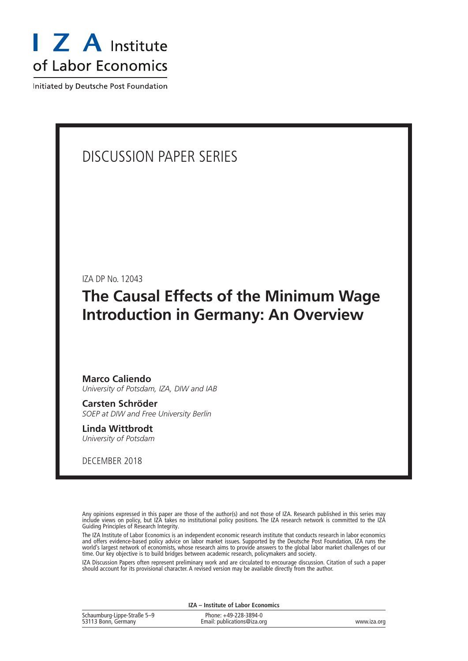

Initiated by Deutsche Post Foundation

# DISCUSSION PAPER SERIES

IZA DP No. 12043

# **The Causal Effects of the Minimum Wage Introduction in Germany: An Overview**

### **Marco Caliendo** *University of Potsdam, IZA, DIW and IAB*

**Carsten Schröder** *SOEP at DIW and Free University Berlin*

**Linda Wittbrodt** *University of Potsdam*

DECEMBER 2018

Any opinions expressed in this paper are those of the author(s) and not those of IZA. Research published in this series may include views on policy, but IZA takes no institutional policy positions. The IZA research network is committed to the IZA Guiding Principles of Research Integrity.

The IZA Institute of Labor Economics is an independent economic research institute that conducts research in labor economics and offers evidence-based policy advice on labor market issues. Supported by the Deutsche Post Foundation, IZA runs the world's largest network of economists, whose research aims to provide answers to the global labor market challenges of our time. Our key objective is to build bridges between academic research, policymakers and society.

IZA Discussion Papers often represent preliminary work and are circulated to encourage discussion. Citation of such a paper should account for its provisional character. A revised version may be available directly from the author.

| IZA - Institute of Labor Economics                 |                                                      |             |  |  |  |
|----------------------------------------------------|------------------------------------------------------|-------------|--|--|--|
| Schaumburg-Lippe-Straße 5-9<br>53113 Bonn, Germany | Phone: +49-228-3894-0<br>Email: publications@iza.org | www.iza.org |  |  |  |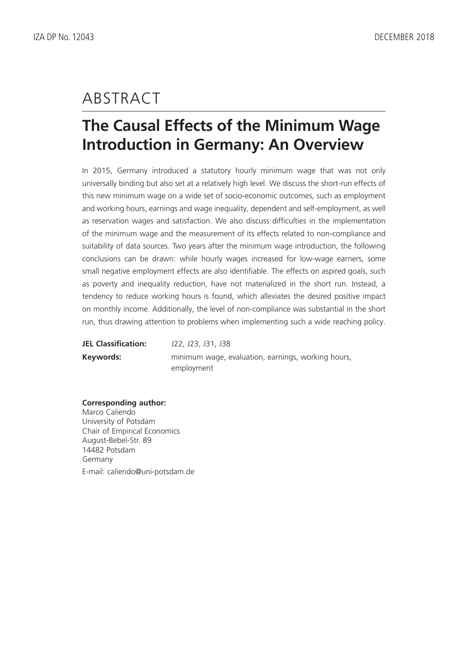# ABSTRACT

# **The Causal Effects of the Minimum Wage Introduction in Germany: An Overview**

In 2015, Germany introduced a statutory hourly minimum wage that was not only universally binding but also set at a relatively high level. We discuss the short-run effects of this new minimum wage on a wide set of socio-economic outcomes, such as employment and working hours, earnings and wage inequality, dependent and self-employment, as well as reservation wages and satisfaction. We also discuss difficulties in the implementation of the minimum wage and the measurement of its effects related to non-compliance and suitability of data sources. Two years after the minimum wage introduction, the following conclusions can be drawn: while hourly wages increased for low-wage earners, some small negative employment effects are also identifiable. The effects on aspired goals, such as poverty and inequality reduction, have not materialized in the short run. Instead, a tendency to reduce working hours is found, which alleviates the desired positive impact on monthly income. Additionally, the level of non-compliance was substantial in the short run, thus drawing attention to problems when implementing such a wide reaching policy.

| <b>JEL Classification:</b> | J22, J23, J31, J38                                 |  |  |  |  |  |
|----------------------------|----------------------------------------------------|--|--|--|--|--|
| Keywords:                  | minimum wage, evaluation, earnings, working hours, |  |  |  |  |  |
|                            | employment                                         |  |  |  |  |  |

**Corresponding author:**

Marco Caliendo University of Potsdam Chair of Empirical Economics August-Bebel-Str. 89 14482 Potsdam Germany E-mail: caliendo@uni-potsdam.de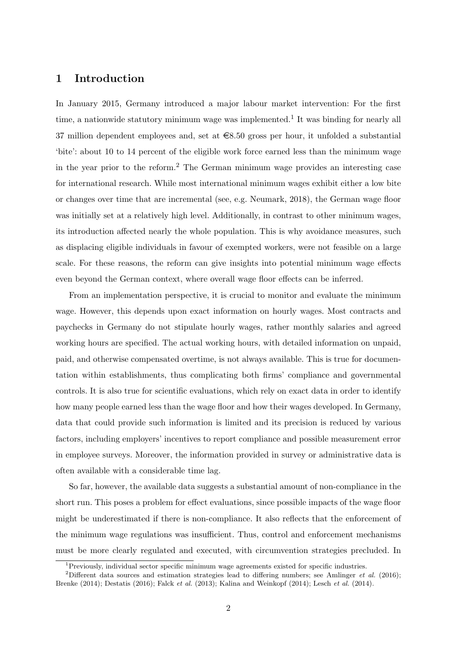### 1 Introduction

In January 2015, Germany introduced a major labour market intervention: For the first time, a nationwide statutory minimum wage was implemented.<sup>[1](#page--1-0)</sup> It was binding for nearly all 37 million dependent employees and, set at  $\in$ 8.50 gross per hour, it unfolded a substantial 'bite': about 10 to 14 percent of the eligible work force earned less than the minimum wage in the year prior to the reform.[2](#page--1-0) The German minimum wage provides an interesting case for international research. While most international minimum wages exhibit either a low bite or changes over time that are incremental (see, e.g. [Neumark, 2018\)](#page-39-0), the German wage floor was initially set at a relatively high level. Additionally, in contrast to other minimum wages, its introduction affected nearly the whole population. This is why avoidance measures, such as displacing eligible individuals in favour of exempted workers, were not feasible on a large scale. For these reasons, the reform can give insights into potential minimum wage effects even beyond the German context, where overall wage floor effects can be inferred.

From an implementation perspective, it is crucial to monitor and evaluate the minimum wage. However, this depends upon exact information on hourly wages. Most contracts and paychecks in Germany do not stipulate hourly wages, rather monthly salaries and agreed working hours are specified. The actual working hours, with detailed information on unpaid, paid, and otherwise compensated overtime, is not always available. This is true for documentation within establishments, thus complicating both firms' compliance and governmental controls. It is also true for scientific evaluations, which rely on exact data in order to identify how many people earned less than the wage floor and how their wages developed. In Germany, data that could provide such information is limited and its precision is reduced by various factors, including employers' incentives to report compliance and possible measurement error in employee surveys. Moreover, the information provided in survey or administrative data is often available with a considerable time lag.

So far, however, the available data suggests a substantial amount of non-compliance in the short run. This poses a problem for effect evaluations, since possible impacts of the wage floor might be underestimated if there is non-compliance. It also reflects that the enforcement of the minimum wage regulations was insufficient. Thus, control and enforcement mechanisms must be more clearly regulated and executed, with circumvention strategies precluded. In

 $1$ Previously, individual sector specific minimum wage agreements existed for specific industries.

<sup>&</sup>lt;sup>2</sup>Different data sources and estimation strategies lead to differing numbers; see [Amlinger](#page-33-0) *et al.* [\(2016\)](#page-33-0); [Brenke](#page-35-0) [\(2014\)](#page-35-0); [Destatis](#page-36-0) [\(2016\)](#page-36-0); [Falck](#page-36-1) et al. [\(2013\)](#page-36-1); [Kalina and Weinkopf](#page-37-0) [\(2014\)](#page-37-0); [Lesch](#page-38-0) et al. [\(2014\)](#page-38-0).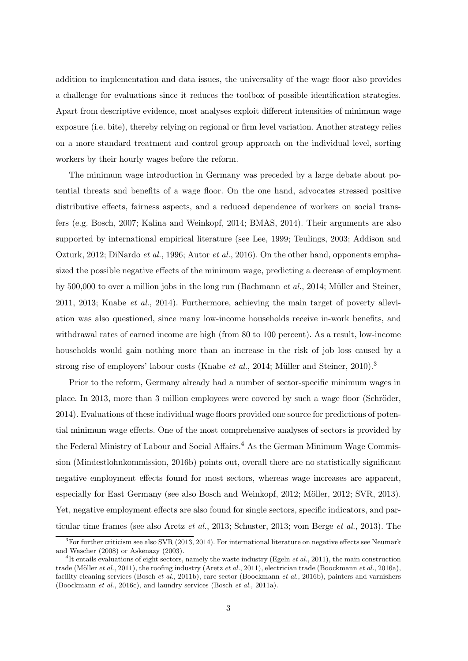addition to implementation and data issues, the universality of the wage floor also provides a challenge for evaluations since it reduces the toolbox of possible identification strategies. Apart from descriptive evidence, most analyses exploit different intensities of minimum wage exposure (i.e. bite), thereby relying on regional or firm level variation. Another strategy relies on a more standard treatment and control group approach on the individual level, sorting workers by their hourly wages before the reform.

The minimum wage introduction in Germany was preceded by a large debate about potential threats and benefits of a wage floor. On the one hand, advocates stressed positive distributive effects, fairness aspects, and a reduced dependence of workers on social transfers (e.g. [Bosch, 2007;](#page-34-0) [Kalina and Weinkopf, 2014;](#page-37-0) [BMAS, 2014\)](#page-34-1). Their arguments are also supported by international empirical literature (see [Lee, 1999;](#page-37-1) [Teulings, 2003;](#page-39-1) [Addison and](#page-33-1) [Ozturk, 2012;](#page-33-1) [DiNardo](#page-36-2) et al., [1996;](#page-36-2) [Autor](#page-33-2) et al., [2016\)](#page-33-2). On the other hand, opponents emphasized the possible negative effects of the minimum wage, predicting a decrease of employment by 500,000 to over a million jobs in the long run [\(Bachmann](#page-33-3) *et al.*, [2014;](#page-33-3) Müller and Steiner, [2011,](#page-38-1) [2013;](#page-38-2) [Knabe](#page-37-2) et al., [2014\)](#page-37-2). Furthermore, achieving the main target of poverty alleviation was also questioned, since many low-income households receive in-work benefits, and withdrawal rates of earned income are high (from 80 to 100 percent). As a result, low-income households would gain nothing more than an increase in the risk of job loss caused by a strong rise of employers' labour costs [\(Knabe](#page-37-2) *et al.*, [2014;](#page-37-2) Müller and Steiner, 2010).<sup>[3](#page--1-0)</sup>

Prior to the reform, Germany already had a number of sector-specific minimum wages in place. In 2013, more than 3 million employees were covered by such a wage floor (Schröder, [2014\)](#page-39-2). Evaluations of these individual wage floors provided one source for predictions of potential minimum wage effects. One of the most comprehensive analyses of sectors is provided by the Federal Ministry of Labour and Social Affairs.<sup>[4](#page--1-0)</sup> As the German Minimum Wage Commission [\(Mindestlohnkommission, 2016b\)](#page-38-4) points out, overall there are no statistically significant negative employment effects found for most sectors, whereas wage increases are apparent, especially for East Germany (see also [Bosch and Weinkopf, 2012;](#page-34-2) Möller, 2012; [SVR, 2013\)](#page-39-3). Yet, negative employment effects are also found for single sectors, specific indicators, and particular time frames (see also [Aretz](#page-33-4) et al., [2013;](#page-33-4) [Schuster, 2013;](#page-39-4) [vom Berge](#page-40-0) et al., [2013\)](#page-40-0). The

 ${}^{3}$ For further criticism see also [SVR](#page-39-3) [\(2013,](#page-39-3) [2014\)](#page-39-5). For international literature on negative effects see [Neumark](#page-39-6) [and Wascher](#page-39-6) [\(2008\)](#page-39-6) or [Askenazy](#page-33-5) [\(2003\)](#page-33-5).

<sup>&</sup>lt;sup>4</sup>It entails evaluations of eight sectors, namely the waste industry [\(Egeln](#page-36-3) *et al.*, [2011\)](#page-36-3), the main construction trade (Möller et al., [2011\)](#page-33-6), the roofing industry [\(Aretz](#page-33-6) et al., 2011), electrician trade [\(Boockmann](#page-34-3) et al., [2016a\)](#page-34-3), facility cleaning services [\(Bosch](#page-34-4) et al., [2011b\)](#page-34-4), care sector [\(Boockmann](#page-34-5) et al., [2016b\)](#page-34-5), painters and varnishers [\(Boockmann](#page-34-6) et al., [2016c\)](#page-34-6), and laundry services [\(Bosch](#page-34-7) et al., [2011a\)](#page-34-7).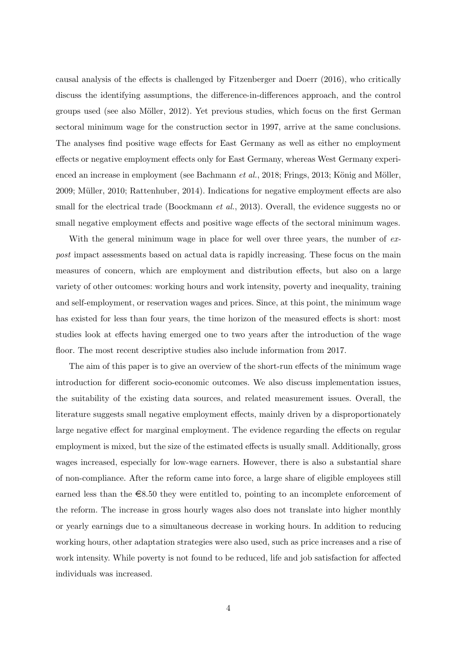causal analysis of the effects is challenged by [Fitzenberger and Doerr](#page-37-3) [\(2016\)](#page-37-3), who critically discuss the identifying assumptions, the difference-in-differences approach, and the control groups used (see also Möller, 2012). Yet previous studies, which focus on the first German sectoral minimum wage for the construction sector in 1997, arrive at the same conclusions. The analyses find positive wage effects for East Germany as well as either no employment effects or negative employment effects only for East Germany, whereas West Germany experi-enced an increase in employment (see [Bachmann](#page-33-7)  $et al., 2018$ ; [Frings, 2013;](#page-37-4) König and Möller, [2009;](#page-37-5) Müller, 2010; [Rattenhuber, 2014\)](#page-39-7). Indications for negative employment effects are also small for the electrical trade [\(Boockmann](#page-34-8) *et al.*, [2013\)](#page-34-8). Overall, the evidence suggests no or small negative employment effects and positive wage effects of the sectoral minimum wages.

With the general minimum wage in place for well over three years, the number of  $ex$ post impact assessments based on actual data is rapidly increasing. These focus on the main measures of concern, which are employment and distribution effects, but also on a large variety of other outcomes: working hours and work intensity, poverty and inequality, training and self-employment, or reservation wages and prices. Since, at this point, the minimum wage has existed for less than four years, the time horizon of the measured effects is short: most studies look at effects having emerged one to two years after the introduction of the wage floor. The most recent descriptive studies also include information from 2017.

The aim of this paper is to give an overview of the short-run effects of the minimum wage introduction for different socio-economic outcomes. We also discuss implementation issues, the suitability of the existing data sources, and related measurement issues. Overall, the literature suggests small negative employment effects, mainly driven by a disproportionately large negative effect for marginal employment. The evidence regarding the effects on regular employment is mixed, but the size of the estimated effects is usually small. Additionally, gross wages increased, especially for low-wage earners. However, there is also a substantial share of non-compliance. After the reform came into force, a large share of eligible employees still earned less than the  $\epsilon$ 8.50 they were entitled to, pointing to an incomplete enforcement of the reform. The increase in gross hourly wages also does not translate into higher monthly or yearly earnings due to a simultaneous decrease in working hours. In addition to reducing working hours, other adaptation strategies were also used, such as price increases and a rise of work intensity. While poverty is not found to be reduced, life and job satisfaction for affected individuals was increased.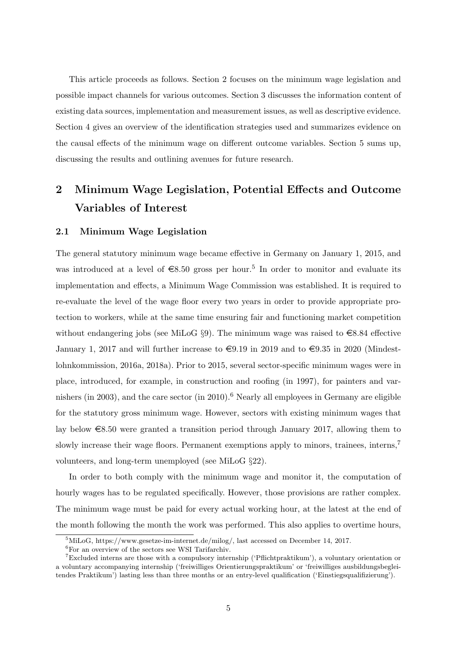This article proceeds as follows. Section [2](#page-6-0) focuses on the minimum wage legislation and possible impact channels for various outcomes. Section [3](#page-12-0) discusses the information content of existing data sources, implementation and measurement issues, as well as descriptive evidence. Section [4](#page-19-0) gives an overview of the identification strategies used and summarizes evidence on the causal effects of the minimum wage on different outcome variables. Section [5](#page-31-0) sums up, discussing the results and outlining avenues for future research.

## <span id="page-6-0"></span>2 Minimum Wage Legislation, Potential Effects and Outcome Variables of Interest

#### 2.1 Minimum Wage Legislation

The general statutory minimum wage became effective in Germany on January 1, 2015, and was introduced at a level of  $\epsilon$ 8.[5](#page--1-0)0 gross per hour.<sup>5</sup> In order to monitor and evaluate its implementation and effects, a Minimum Wage Commission was established. It is required to re-evaluate the level of the wage floor every two years in order to provide appropriate protection to workers, while at the same time ensuring fair and functioning market competition without endangering jobs (see MiLoG §9). The minimum wage was raised to  $\in$ 8.84 effective January 1, 2017 and will further increase to  $\epsilon = 9.19$  in 2019 and to  $\epsilon = 9.35$  in 2020 [\(Mindest](#page-38-8)[lohnkommission, 2016a,](#page-38-8) [2018a\)](#page-38-9). Prior to 2015, several sector-specific minimum wages were in place, introduced, for example, in construction and roofing (in 1997), for painters and var-nishers (in 2003), and the care sector (in 2010).<sup>[6](#page--1-0)</sup> Nearly all employees in Germany are eligible for the statutory gross minimum wage. However, sectors with existing minimum wages that lay below  $\epsilon$ 8.50 were granted a transition period through January 2017, allowing them to slowly increase their wage floors. Permanent exemptions apply to minors, trainees, interns,<sup>[7](#page--1-0)</sup> volunteers, and long-term unemployed (see MiLoG §22).

In order to both comply with the minimum wage and monitor it, the computation of hourly wages has to be regulated specifically. However, those provisions are rather complex. The minimum wage must be paid for every actual working hour, at the latest at the end of the month following the month the work was performed. This also applies to overtime hours,

 $^{5}\rm MiLoG,$  https://www.gesetze-im-internet.de/milog/, last accessed on December 14, 2017.

 ${}^{6}$ For an overview of the sectors see WSI Tarifarchiv.

<sup>7</sup>Excluded interns are those with a compulsory internship ('Pflichtpraktikum'), a voluntary orientation or a voluntary accompanying internship ('freiwilliges Orientierungspraktikum' or 'freiwilliges ausbildungsbegleitendes Praktikum') lasting less than three months or an entry-level qualification ('Einstiegsqualifizierung').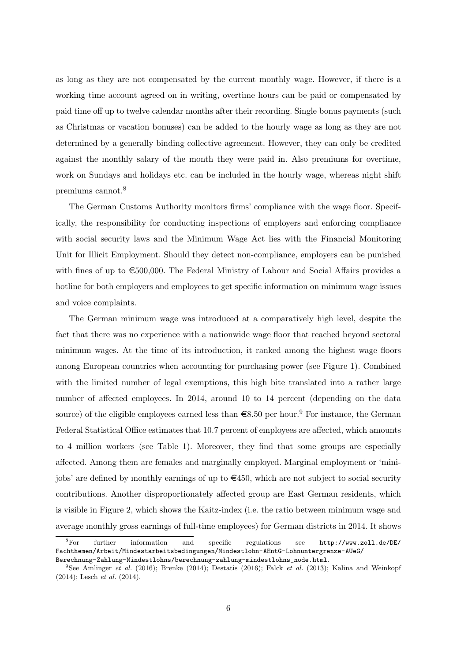as long as they are not compensated by the current monthly wage. However, if there is a working time account agreed on in writing, overtime hours can be paid or compensated by paid time off up to twelve calendar months after their recording. Single bonus payments (such as Christmas or vacation bonuses) can be added to the hourly wage as long as they are not determined by a generally binding collective agreement. However, they can only be credited against the monthly salary of the month they were paid in. Also premiums for overtime, work on Sundays and holidays etc. can be included in the hourly wage, whereas night shift premiums cannot.[8](#page--1-0)

The German Customs Authority monitors firms' compliance with the wage floor. Specifically, the responsibility for conducting inspections of employers and enforcing compliance with social security laws and the Minimum Wage Act lies with the Financial Monitoring Unit for Illicit Employment. Should they detect non-compliance, employers can be punished with fines of up to  $\epsilon$ 500,000. The Federal Ministry of Labour and Social Affairs provides a hotline for both employers and employees to get specific information on minimum wage issues and voice complaints.

The German minimum wage was introduced at a comparatively high level, despite the fact that there was no experience with a nationwide wage floor that reached beyond sectoral minimum wages. At the time of its introduction, it ranked among the highest wage floors among European countries when accounting for purchasing power (see Figure [1\)](#page-8-0). Combined with the limited number of legal exemptions, this high bite translated into a rather large number of affected employees. In 2014, around 10 to 14 percent (depending on the data source) of the eligible employees earned less than  $\epsilon 8.50$  per hour.<sup>[9](#page--1-0)</sup> For instance, the German Federal Statistical Office estimates that 10.7 percent of employees are affected, which amounts to 4 million workers (see Table [1\)](#page-9-0). Moreover, they find that some groups are especially affected. Among them are females and marginally employed. Marginal employment or 'minijobs' are defined by monthly earnings of up to  $\in 450$ , which are not subject to social security contributions. Another disproportionately affected group are East German residents, which is visible in Figure [2,](#page-10-0) which shows the Kaitz-index (i.e. the ratio between minimum wage and average monthly gross earnings of full-time employees) for German districts in 2014. It shows

<sup>8</sup>For further information and specific regulations see [http://www.zoll.de/DE/](http://www.zoll.de/DE/Fachthemen/Arbeit/Mindestarbeitsbedingungen/Mindestlohn-AEntG-Lohnuntergrenze-AUeG/Berechnung-Zahlung-Mindestlohns/berechnung-zahlung-mindestlohns_node.html) [Fachthemen/Arbeit/Mindestarbeitsbedingungen/Mindestlohn-AEntG-Lohnuntergrenze-AUeG/](http://www.zoll.de/DE/Fachthemen/Arbeit/Mindestarbeitsbedingungen/Mindestlohn-AEntG-Lohnuntergrenze-AUeG/Berechnung-Zahlung-Mindestlohns/berechnung-zahlung-mindestlohns_node.html) [Berechnung-Zahlung-Mindestlohns/berechnung-zahlung-mindestlohns\\_node.html](http://www.zoll.de/DE/Fachthemen/Arbeit/Mindestarbeitsbedingungen/Mindestlohn-AEntG-Lohnuntergrenze-AUeG/Berechnung-Zahlung-Mindestlohns/berechnung-zahlung-mindestlohns_node.html).

<sup>&</sup>lt;sup>9</sup>See [Amlinger](#page-33-0) *et al.* [\(2016\)](#page-36-0); [Brenke](#page-35-0) [\(2014\)](#page-35-0); [Destatis](#page-36-0) (2016); [Falck](#page-36-1) *et al.* [\(2013\)](#page-36-1); [Kalina and Weinkopf](#page-37-0) [\(2014\)](#page-37-0); [Lesch](#page-38-0) et al. [\(2014\)](#page-38-0).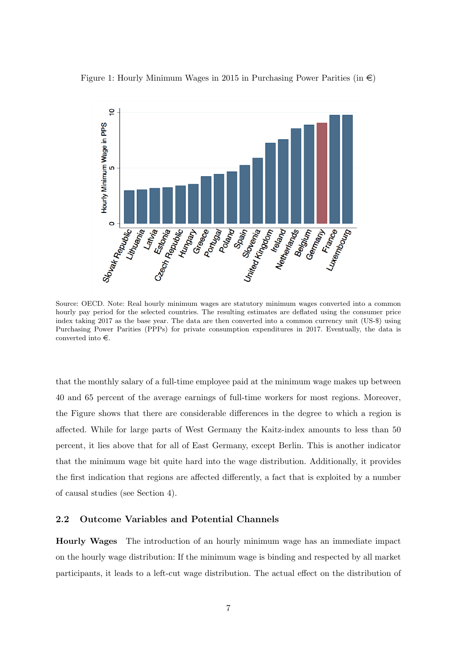<span id="page-8-0"></span>



Source: OECD. Note: Real hourly minimum wages are statutory minimum wages converted into a common hourly pay period for the selected countries. The resulting estimates are deflated using the consumer price index taking 2017 as the base year. The data are then converted into a common currency unit (US-\$) using Purchasing Power Parities (PPPs) for private consumption expenditures in 2017. Eventually, the data is converted into  $\in.$ 

that the monthly salary of a full-time employee paid at the minimum wage makes up between 40 and 65 percent of the average earnings of full-time workers for most regions. Moreover, the Figure shows that there are considerable differences in the degree to which a region is affected. While for large parts of West Germany the Kaitz-index amounts to less than 50 percent, it lies above that for all of East Germany, except Berlin. This is another indicator that the minimum wage bit quite hard into the wage distribution. Additionally, it provides the first indication that regions are affected differently, a fact that is exploited by a number of causal studies (see Section [4\)](#page-19-0).

#### <span id="page-8-1"></span>2.2 Outcome Variables and Potential Channels

Hourly Wages The introduction of an hourly minimum wage has an immediate impact on the hourly wage distribution: If the minimum wage is binding and respected by all market participants, it leads to a left-cut wage distribution. The actual effect on the distribution of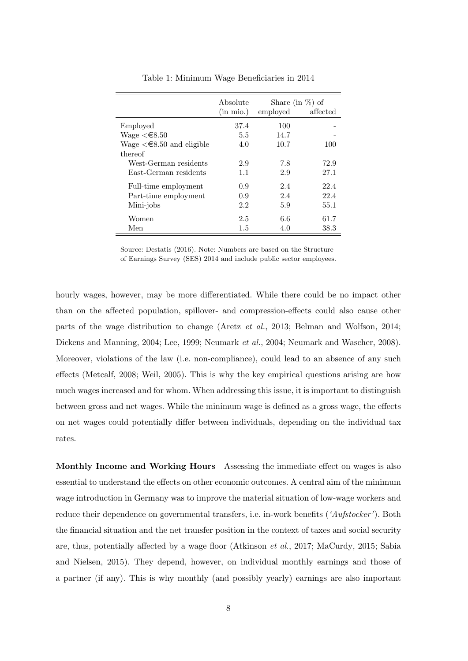<span id="page-9-0"></span>

|                                        | Absolute              | Share (in $\%$ ) of |          |
|----------------------------------------|-----------------------|---------------------|----------|
|                                        | $(in \, \text{mio.})$ | employed            | affected |
| Employed                               | 37.4                  | 100                 |          |
| Wage $\leq \epsilon 8.50$              | 5.5                   | 14.7                |          |
| Wage $\leq \epsilon$ 8.50 and eligible | 4.0                   | 10.7                | 100      |
| thereof                                |                       |                     |          |
| West-German residents                  | 2.9                   | 7.8                 | 72.9     |
| East-German residents                  | 1.1                   | 2.9                 | 27.1     |
| Full-time employment                   | 0.9                   | 2.4                 | 22.4     |
| Part-time employment                   | 0.9                   | 2.4                 | 22.4     |
| Mini-jobs                              | 2.2                   | 5.9                 | 55.1     |
| Women                                  | 2.5                   | 6.6                 | 61.7     |
| Men                                    | 1.5                   | 4.0                 | 38.3     |

Table 1: Minimum Wage Beneficiaries in 2014

Source: [Destatis](#page-36-0) [\(2016\)](#page-36-0). Note: Numbers are based on the Structure of Earnings Survey (SES) 2014 and include public sector employees.

hourly wages, however, may be more differentiated. While there could be no impact other than on the affected population, spillover- and compression-effects could also cause other parts of the wage distribution to change [\(Aretz](#page-33-4) et al., [2013;](#page-33-4) [Belman and Wolfson, 2014;](#page-33-8) [Dickens and Manning, 2004;](#page-36-4) [Lee, 1999;](#page-37-1) [Neumark](#page-39-8) et al., [2004;](#page-39-8) [Neumark and Wascher, 2008\)](#page-39-6). Moreover, violations of the law (i.e. non-compliance), could lead to an absence of any such effects [\(Metcalf, 2008;](#page-38-10) [Weil, 2005\)](#page-40-1). This is why the key empirical questions arising are how much wages increased and for whom. When addressing this issue, it is important to distinguish between gross and net wages. While the minimum wage is defined as a gross wage, the effects on net wages could potentially differ between individuals, depending on the individual tax rates.

Monthly Income and Working Hours Assessing the immediate effect on wages is also essential to understand the effects on other economic outcomes. A central aim of the minimum wage introduction in Germany was to improve the material situation of low-wage workers and reduce their dependence on governmental transfers, i.e. in-work benefits ('Aufstocker'). Both the financial situation and the net transfer position in the context of taxes and social security are, thus, potentially affected by a wage floor [\(Atkinson](#page-33-9) et al., [2017;](#page-33-9) [MaCurdy, 2015;](#page-38-11) [Sabia](#page-39-9) [and Nielsen, 2015\)](#page-39-9). They depend, however, on individual monthly earnings and those of a partner (if any). This is why monthly (and possibly yearly) earnings are also important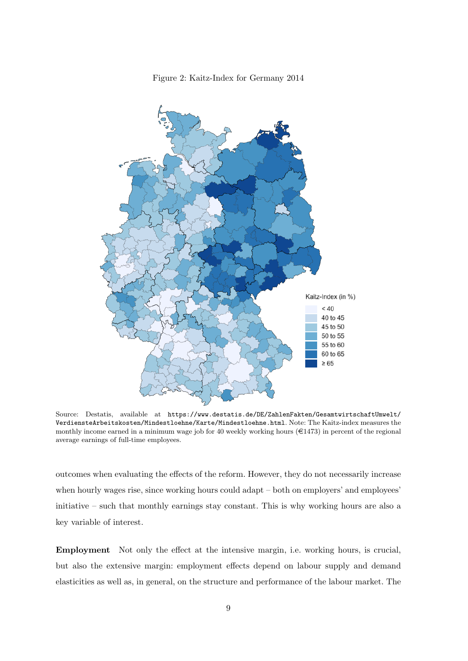<span id="page-10-0"></span>

Figure 2: Kaitz-Index for Germany 2014

Source: Destatis, available at [https://www.destatis.de/DE/ZahlenFakten/GesamtwirtschaftUmwelt/](https://www.destatis.de/DE/ZahlenFakten/GesamtwirtschaftUmwelt/VerdiensteArbeitskosten/Mindestloehne/Karte/Mindestloehne.html) [VerdiensteArbeitskosten/Mindestloehne/Karte/Mindestloehne.html](https://www.destatis.de/DE/ZahlenFakten/GesamtwirtschaftUmwelt/VerdiensteArbeitskosten/Mindestloehne/Karte/Mindestloehne.html). Note: The Kaitz-index measures the monthly income earned in a minimum wage job for 40 weekly working hours  $(\epsilon 1473)$  in percent of the regional average earnings of full-time employees.

outcomes when evaluating the effects of the reform. However, they do not necessarily increase when hourly wages rise, since working hours could adapt – both on employers' and employees' initiative – such that monthly earnings stay constant. This is why working hours are also a key variable of interest.

Employment Not only the effect at the intensive margin, i.e. working hours, is crucial, but also the extensive margin: employment effects depend on labour supply and demand elasticities as well as, in general, on the structure and performance of the labour market. The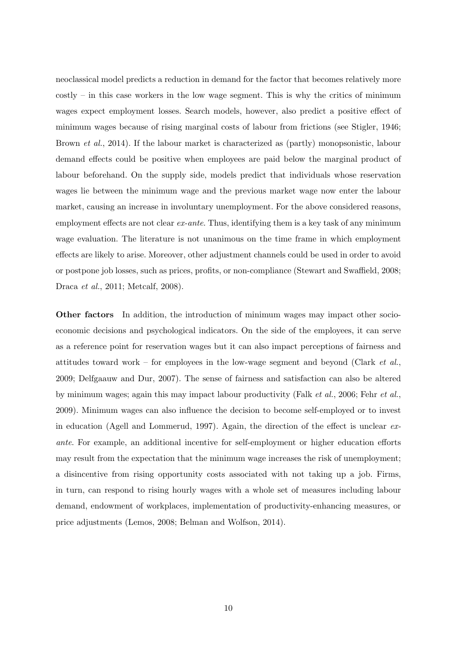neoclassical model predicts a reduction in demand for the factor that becomes relatively more costly – in this case workers in the low wage segment. This is why the critics of minimum wages expect employment losses. Search models, however, also predict a positive effect of minimum wages because of rising marginal costs of labour from frictions (see [Stigler, 1946;](#page-39-10) [Brown](#page-35-1) et al., [2014\)](#page-35-1). If the labour market is characterized as (partly) monopsonistic, labour demand effects could be positive when employees are paid below the marginal product of labour beforehand. On the supply side, models predict that individuals whose reservation wages lie between the minimum wage and the previous market wage now enter the labour market, causing an increase in involuntary unemployment. For the above considered reasons, employment effects are not clear  $ex\text{-}ante$ . Thus, identifying them is a key task of any minimum wage evaluation. The literature is not unanimous on the time frame in which employment effects are likely to arise. Moreover, other adjustment channels could be used in order to avoid or postpone job losses, such as prices, profits, or non-compliance [\(Stewart and Swaffield, 2008;](#page-39-11) [Draca](#page-36-5) et al., [2011;](#page-36-5) [Metcalf, 2008\)](#page-38-10).

Other factors In addition, the introduction of minimum wages may impact other socioeconomic decisions and psychological indicators. On the side of the employees, it can serve as a reference point for reservation wages but it can also impact perceptions of fairness and attitudes toward work – for employees in the low-wage segment and beyond [\(Clark](#page-36-6)  $et al.,$ [2009;](#page-36-6) [Delfgaauw and Dur, 2007\)](#page-36-7). The sense of fairness and satisfaction can also be altered by minimum wages; again this may impact labour productivity (Falk [et al.](#page-36-8), [2006;](#page-36-8) Fehr [et al.](#page-37-6), [2009\)](#page-37-6). Minimum wages can also influence the decision to become self-employed or to invest in education [\(Agell and Lommerud, 1997\)](#page-33-10). Again, the direction of the effect is unclear exante. For example, an additional incentive for self-employment or higher education efforts may result from the expectation that the minimum wage increases the risk of unemployment; a disincentive from rising opportunity costs associated with not taking up a job. Firms, in turn, can respond to rising hourly wages with a whole set of measures including labour demand, endowment of workplaces, implementation of productivity-enhancing measures, or price adjustments [\(Lemos, 2008;](#page-38-12) [Belman and Wolfson, 2014\)](#page-33-8).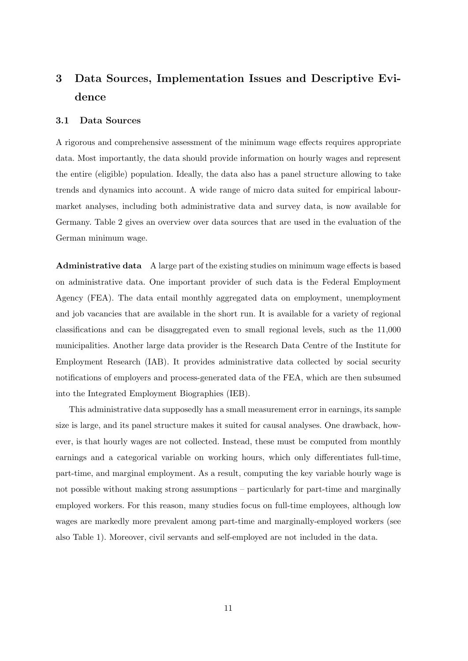## <span id="page-12-0"></span>3 Data Sources, Implementation Issues and Descriptive Evidence

#### <span id="page-12-1"></span>3.1 Data Sources

A rigorous and comprehensive assessment of the minimum wage effects requires appropriate data. Most importantly, the data should provide information on hourly wages and represent the entire (eligible) population. Ideally, the data also has a panel structure allowing to take trends and dynamics into account. A wide range of micro data suited for empirical labourmarket analyses, including both administrative data and survey data, is now available for Germany. Table [2](#page-13-0) gives an overview over data sources that are used in the evaluation of the German minimum wage.

Administrative data A large part of the existing studies on minimum wage effects is based on administrative data. One important provider of such data is the Federal Employment Agency (FEA). The data entail monthly aggregated data on employment, unemployment and job vacancies that are available in the short run. It is available for a variety of regional classifications and can be disaggregated even to small regional levels, such as the 11,000 municipalities. Another large data provider is the Research Data Centre of the Institute for Employment Research (IAB). It provides administrative data collected by social security notifications of employers and process-generated data of the FEA, which are then subsumed into the Integrated Employment Biographies (IEB).

This administrative data supposedly has a small measurement error in earnings, its sample size is large, and its panel structure makes it suited for causal analyses. One drawback, however, is that hourly wages are not collected. Instead, these must be computed from monthly earnings and a categorical variable on working hours, which only differentiates full-time, part-time, and marginal employment. As a result, computing the key variable hourly wage is not possible without making strong assumptions – particularly for part-time and marginally employed workers. For this reason, many studies focus on full-time employees, although low wages are markedly more prevalent among part-time and marginally-employed workers (see also Table [1\)](#page-9-0). Moreover, civil servants and self-employed are not included in the data.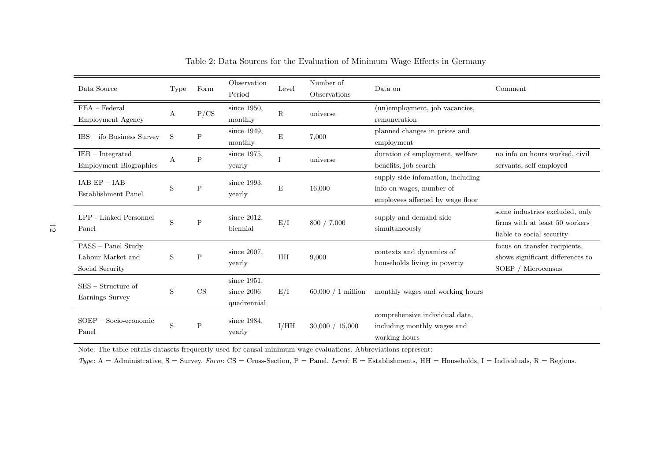<span id="page-13-1"></span>

| Data Source                                                | Type    | Form                       | Observation<br>Period                      | Level       | Number of<br>Observations | Data on                                                                                           | Comment                                                                                       |
|------------------------------------------------------------|---------|----------------------------|--------------------------------------------|-------------|---------------------------|---------------------------------------------------------------------------------------------------|-----------------------------------------------------------------------------------------------|
| $FEA - Federal$<br><b>Employment Agency</b>                | Α       | P/CS                       | since 1950,<br>monthly                     | $\mathbf R$ | universe                  | (un)employment, job vacancies,<br>remuneration                                                    |                                                                                               |
| $IBS - ifo Business Survey$                                | S       | P                          | since $1949$ ,<br>monthly                  | E           | 7,000                     | planned changes in prices and<br>employment                                                       |                                                                                               |
| $IEB$ – Integrated<br><b>Employment Biographies</b>        | А       | $\mathbf P$                | since 1975,<br>yearly                      |             | universe                  | duration of employment, welfare<br>benefits, job search                                           | no info on hours worked, civil<br>servants, self-employed                                     |
| $IAB EP - IAB$<br>Establishment Panel                      | S       | Ρ                          | since 1993,<br>yearly                      | ${\bf E}$   | 16,000                    | supply side infomation, including<br>info on wages, number of<br>employees affected by wage floor |                                                                                               |
| LPP - Linked Personnel<br>Panel                            | S       | $\mathsf{P}$               | since $2012$ ,<br>biennial                 | E/I         | 800 / 7,000               | supply and demand side<br>simultaneously                                                          | some industries excluded, only<br>firms with at least 50 workers<br>liable to social security |
| PASS - Panel Study<br>Labour Market and<br>Social Security | S       | P                          | since $2007$ ,<br>yearly                   | HH          | 9,000                     | contexts and dynamics of<br>households living in poverty                                          | focus on transfer recipients,<br>shows significant differences to<br>SOEP / Microcensus       |
| $SES - Structure$ of<br>Earnings Survey                    | S       | $\mathop{\rm CS}\nolimits$ | since 1951,<br>since $2006$<br>quadrennial | E/I         | $60,000 / 1$ million      | monthly wages and working hours                                                                   |                                                                                               |
| Socio-economic<br>$SOEP -$<br>Panel                        | $\rm S$ | $\mathbf P$                | since 1984,<br>yearly                      | I/HH        | 30,000 / 15,000           | comprehensive individual data,<br>including monthly wages and<br>working hours                    |                                                                                               |

Table 2: Data Sources for the Evaluation of Minimum Wage Effects in Germany

Note: The table entails datasets frequently used for causal minimum wage evaluations. Abbreviations represent:

<span id="page-13-0"></span>Type: A = Administrative, S = Survey. Form: CS = Cross-Section, P = Panel. Level: E = Establishments, HH = Households, I = Individuals, R = Regions.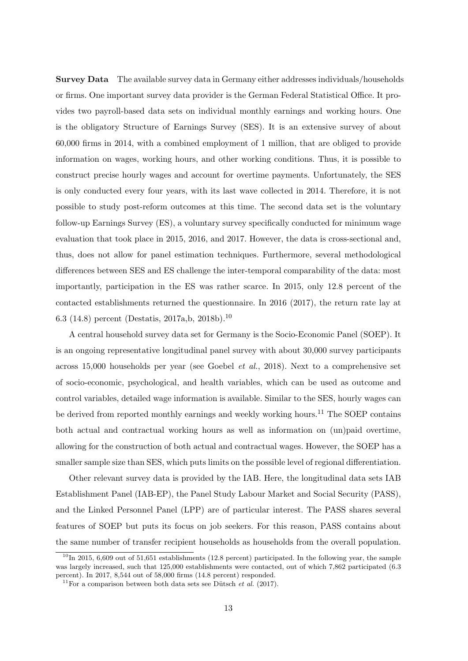Survey Data The available survey data in Germany either addresses individuals/households or firms. One important survey data provider is the German Federal Statistical Office. It provides two payroll-based data sets on individual monthly earnings and working hours. One is the obligatory Structure of Earnings Survey (SES). It is an extensive survey of about 60,000 firms in 2014, with a combined employment of 1 million, that are obliged to provide information on wages, working hours, and other working conditions. Thus, it is possible to construct precise hourly wages and account for overtime payments. Unfortunately, the SES is only conducted every four years, with its last wave collected in 2014. Therefore, it is not possible to study post-reform outcomes at this time. The second data set is the voluntary follow-up Earnings Survey (ES), a voluntary survey specifically conducted for minimum wage evaluation that took place in 2015, 2016, and 2017. However, the data is cross-sectional and, thus, does not allow for panel estimation techniques. Furthermore, several methodological differences between SES and ES challenge the inter-temporal comparability of the data: most importantly, participation in the ES was rather scarce. In 2015, only 12.8 percent of the contacted establishments returned the questionnaire. In 2016 (2017), the return rate lay at 6.3 (14.8) percent [\(Destatis, 2017a,](#page-36-9)[b,](#page-36-10) [2018b\)](#page-36-11).[10](#page--1-0)

A central household survey data set for Germany is the Socio-Economic Panel (SOEP). It is an ongoing representative longitudinal panel survey with about 30,000 survey participants across 15,000 households per year (see [Goebel](#page-37-7) et al., [2018\)](#page-37-7). Next to a comprehensive set of socio-economic, psychological, and health variables, which can be used as outcome and control variables, detailed wage information is available. Similar to the SES, hourly wages can be derived from reported monthly earnings and weekly working hours.<sup>[11](#page--1-0)</sup> The SOEP contains both actual and contractual working hours as well as information on (un)paid overtime, allowing for the construction of both actual and contractual wages. However, the SOEP has a smaller sample size than SES, which puts limits on the possible level of regional differentiation.

Other relevant survey data is provided by the IAB. Here, the longitudinal data sets IAB Establishment Panel (IAB-EP), the Panel Study Labour Market and Social Security (PASS), and the Linked Personnel Panel (LPP) are of particular interest. The PASS shares several features of SOEP but puts its focus on job seekers. For this reason, PASS contains about the same number of transfer recipient households as households from the overall population.

 $10$ In 2015, 6,609 out of 51,651 establishments (12.8 percent) participated. In the following year, the sample was largely increased, such that 125,000 establishments were contacted, out of which 7,862 participated (6.3 percent). In 2017, 8,544 out of 58,000 firms (14.8 percent) responded.

<sup>&</sup>lt;sup>11</sup>For a comparison between both data sets see Dütsch *et al.* [\(2017\)](#page-36-12).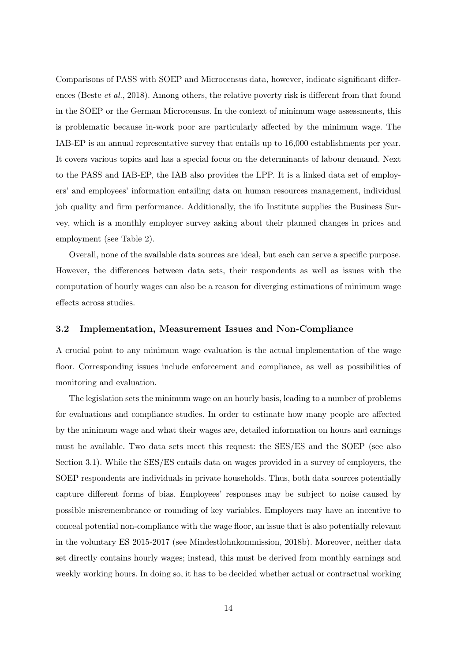Comparisons of PASS with SOEP and Microcensus data, however, indicate significant differ-ences [\(Beste](#page-33-11) *et al.*, [2018\)](#page-33-11). Among others, the relative poverty risk is different from that found in the SOEP or the German Microcensus. In the context of minimum wage assessments, this is problematic because in-work poor are particularly affected by the minimum wage. The IAB-EP is an annual representative survey that entails up to 16,000 establishments per year. It covers various topics and has a special focus on the determinants of labour demand. Next to the PASS and IAB-EP, the IAB also provides the LPP. It is a linked data set of employers' and employees' information entailing data on human resources management, individual job quality and firm performance. Additionally, the ifo Institute supplies the Business Survey, which is a monthly employer survey asking about their planned changes in prices and employment (see Table [2\)](#page-13-0).

Overall, none of the available data sources are ideal, but each can serve a specific purpose. However, the differences between data sets, their respondents as well as issues with the computation of hourly wages can also be a reason for diverging estimations of minimum wage effects across studies.

#### <span id="page-15-0"></span>3.2 Implementation, Measurement Issues and Non-Compliance

A crucial point to any minimum wage evaluation is the actual implementation of the wage floor. Corresponding issues include enforcement and compliance, as well as possibilities of monitoring and evaluation.

The legislation sets the minimum wage on an hourly basis, leading to a number of problems for evaluations and compliance studies. In order to estimate how many people are affected by the minimum wage and what their wages are, detailed information on hours and earnings must be available. Two data sets meet this request: the SES/ES and the SOEP (see also Section [3.1\)](#page-12-1). While the SES/ES entails data on wages provided in a survey of employers, the SOEP respondents are individuals in private households. Thus, both data sources potentially capture different forms of bias. Employees' responses may be subject to noise caused by possible misremembrance or rounding of key variables. Employers may have an incentive to conceal potential non-compliance with the wage floor, an issue that is also potentially relevant in the voluntary ES 2015-2017 (see [Mindestlohnkommission, 2018b\)](#page-38-13). Moreover, neither data set directly contains hourly wages; instead, this must be derived from monthly earnings and weekly working hours. In doing so, it has to be decided whether actual or contractual working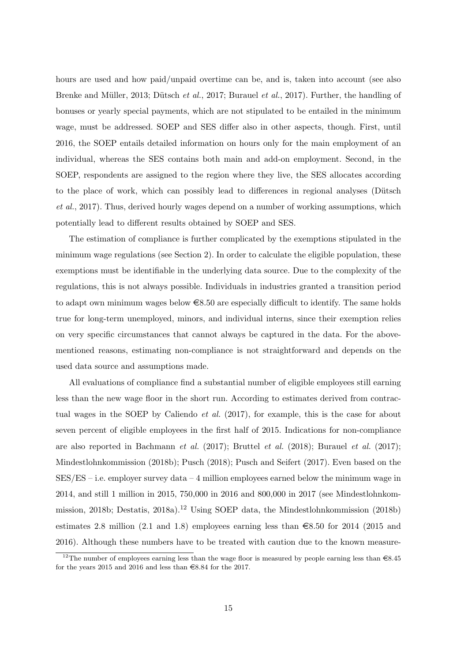hours are used and how paid/unpaid overtime can be, and is, taken into account (see also Brenke and Müller, 2013; Dütsch et al., [2017;](#page-36-12) [Burauel](#page-35-3) et al., [2017\)](#page-35-3). Further, the handling of bonuses or yearly special payments, which are not stipulated to be entailed in the minimum wage, must be addressed. SOEP and SES differ also in other aspects, though. First, until 2016, the SOEP entails detailed information on hours only for the main employment of an individual, whereas the SES contains both main and add-on employment. Second, in the SOEP, respondents are assigned to the region where they live, the SES allocates according to the place of work, which can possibly lead to differences in regional analyses (Dütsch [et al.](#page-36-12), [2017\)](#page-36-12). Thus, derived hourly wages depend on a number of working assumptions, which potentially lead to different results obtained by SOEP and SES.

The estimation of compliance is further complicated by the exemptions stipulated in the minimum wage regulations (see Section [2\)](#page-6-0). In order to calculate the eligible population, these exemptions must be identifiable in the underlying data source. Due to the complexity of the regulations, this is not always possible. Individuals in industries granted a transition period to adapt own minimum wages below  $\epsilon$ 8.50 are especially difficult to identify. The same holds true for long-term unemployed, minors, and individual interns, since their exemption relies on very specific circumstances that cannot always be captured in the data. For the abovementioned reasons, estimating non-compliance is not straightforward and depends on the used data source and assumptions made.

All evaluations of compliance find a substantial number of eligible employees still earning less than the new wage floor in the short run. According to estimates derived from contrac-tual wages in the SOEP by [Caliendo](#page-35-4) *et al.* [\(2017\)](#page-35-4), for example, this is the case for about seven percent of eligible employees in the first half of 2015. Indications for non-compliance are also reported in [Bachmann](#page-33-12) *et al.* [\(2017\)](#page-35-3); [Bruttel](#page-35-5) *et al.* [\(2018\)](#page-35-5); [Burauel](#page-35-3) *et al.* (2017); [Mindestlohnkommission](#page-38-13) [\(2018b\)](#page-38-13); [Pusch](#page-39-12) [\(2018\)](#page-39-12); [Pusch and Seifert](#page-39-13) [\(2017\)](#page-39-13). Even based on the  $SES/ES - i.e.$  employer survey data  $-4$  million employees earned below the minimum wage in 2014, and still 1 million in 2015, 750,000 in 2016 and 800,000 in 2017 (see [Mindestlohnkom](#page-38-13)[mission, 2018b;](#page-38-13) [Destatis, 2018a\)](#page-36-13).<sup>[12](#page--1-0)</sup> Using SOEP data, the [Mindestlohnkommission](#page-38-13) [\(2018b\)](#page-38-13) estimates 2.8 million (2.1 and 1.8) employees earning less than  $\epsilon$ 8.50 for 2014 (2015 and 2016). Although these numbers have to be treated with caution due to the known measure-

<sup>&</sup>lt;sup>12</sup>The number of employees earning less than the wage floor is measured by people earning less than  $\epsilon$ 8.45 for the years 2015 and 2016 and less than  $\text{\textsterling}8.84$  for the 2017.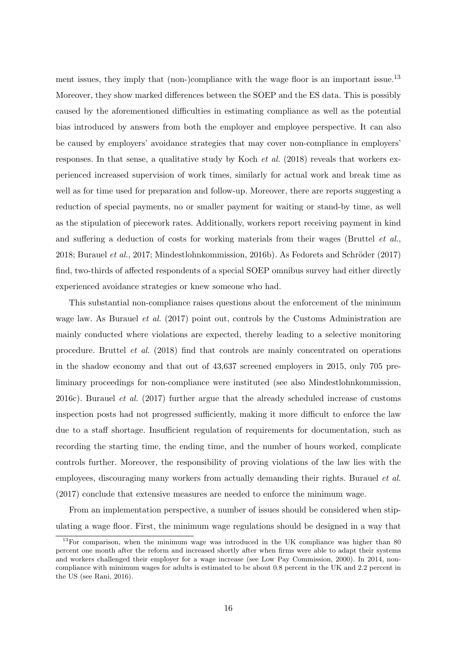ment issues, they imply that (non-)compliance with the wage floor is an important issue.<sup>[13](#page--1-0)</sup> Moreover, they show marked differences between the SOEP and the ES data. This is possibly caused by the aforementioned difficulties in estimating compliance as well as the potential bias introduced by answers from both the employer and employee perspective. It can also be caused by employers' avoidance strategies that may cover non-compliance in employers' responses. In that sense, a qualitative study by [Koch](#page-37-8) *et al.* [\(2018\)](#page-37-8) reveals that workers experienced increased supervision of work times, similarly for actual work and break time as well as for time used for preparation and follow-up. Moreover, there are reports suggesting a reduction of special payments, no or smaller payment for waiting or stand-by time, as well as the stipulation of piecework rates. Additionally, workers report receiving payment in kind and suffering a deduction of costs for working materials from their wages [\(Bruttel](#page-35-5) et al.,  $2018$ ; [Burauel](#page-35-3) *et al.*,  $2017$ ; Mindestlohnkommission,  $2016$ b). As Fedorets and Schröder [\(2017\)](#page-37-9) find, two-thirds of affected respondents of a special SOEP omnibus survey had either directly experienced avoidance strategies or knew someone who had.

This substantial non-compliance raises questions about the enforcement of the minimum wage law. As [Burauel](#page-35-3) *et al.* [\(2017\)](#page-35-3) point out, controls by the Customs Administration are mainly conducted where violations are expected, thereby leading to a selective monitoring procedure. [Bruttel](#page-35-5) et al. [\(2018\)](#page-35-5) find that controls are mainly concentrated on operations in the shadow economy and that out of 43,637 screened employers in 2015, only 705 preliminary proceedings for non-compliance were instituted (see also [Mindestlohnkommission,](#page-38-14) [2016c\)](#page-38-14). [Burauel](#page-35-3) et al. [\(2017\)](#page-35-3) further argue that the already scheduled increase of customs inspection posts had not progressed sufficiently, making it more difficult to enforce the law due to a staff shortage. Insufficient regulation of requirements for documentation, such as recording the starting time, the ending time, and the number of hours worked, complicate controls further. Moreover, the responsibility of proving violations of the law lies with the employees, discouraging many workers from actually demanding their rights. [Burauel](#page-35-3) *et al.* [\(2017\)](#page-35-3) conclude that extensive measures are needed to enforce the minimum wage.

From an implementation perspective, a number of issues should be considered when stipulating a wage floor. First, the minimum wage regulations should be designed in a way that

 $13$ For comparison, when the minimum wage was introduced in the UK compliance was higher than 80 percent one month after the reform and increased shortly after when firms were able to adapt their systems and workers challenged their employer for a wage increase (see [Low Pay Commission, 2000\)](#page-38-15). In 2014, noncompliance with minimum wages for adults is estimated to be about 0.8 percent in the UK and 2.2 percent in the US (see [Rani, 2016\)](#page-39-14).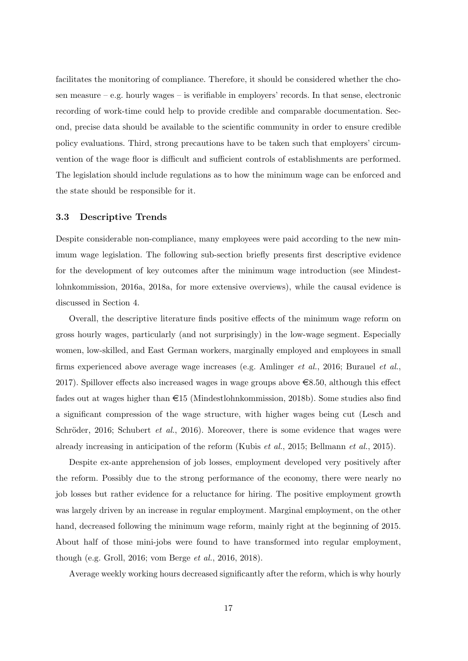facilitates the monitoring of compliance. Therefore, it should be considered whether the chosen measure  $-e.g.$  hourly wages  $-$  is verifiable in employers' records. In that sense, electronic recording of work-time could help to provide credible and comparable documentation. Second, precise data should be available to the scientific community in order to ensure credible policy evaluations. Third, strong precautions have to be taken such that employers' circumvention of the wage floor is difficult and sufficient controls of establishments are performed. The legislation should include regulations as to how the minimum wage can be enforced and the state should be responsible for it.

#### <span id="page-18-0"></span>3.3 Descriptive Trends

Despite considerable non-compliance, many employees were paid according to the new minimum wage legislation. The following sub-section briefly presents first descriptive evidence for the development of key outcomes after the minimum wage introduction (see [Mindest](#page-38-8)[lohnkommission, 2016a,](#page-38-8) [2018a,](#page-38-9) for more extensive overviews), while the causal evidence is discussed in Section [4.](#page-19-0)

Overall, the descriptive literature finds positive effects of the minimum wage reform on gross hourly wages, particularly (and not surprisingly) in the low-wage segment. Especially women, low-skilled, and East German workers, marginally employed and employees in small firms experienced above average wage increases (e.g. [Amlinger](#page-33-0) et al., [2016;](#page-33-0) [Burauel](#page-35-3) et al., [2017\)](#page-35-3). Spillover effects also increased wages in wage groups above  $\epsilon$ 8.50, although this effect fades out at wages higher than  $\epsilon$ 15 [\(Mindestlohnkommission, 2018b\)](#page-38-13). Some studies also find a significant compression of the wage structure, with higher wages being cut [\(Lesch and](#page-38-16) Schröder, 2016; [Schubert](#page-39-15) et al., [2016\)](#page-39-15). Moreover, there is some evidence that wages were already increasing in anticipation of the reform [\(Kubis](#page-37-10) et al., [2015;](#page-37-10) [Bellmann](#page-33-13) et al., [2015\)](#page-33-13).

Despite ex-ante apprehension of job losses, employment developed very positively after the reform. Possibly due to the strong performance of the economy, there were nearly no job losses but rather evidence for a reluctance for hiring. The positive employment growth was largely driven by an increase in regular employment. Marginal employment, on the other hand, decreased following the minimum wage reform, mainly right at the beginning of 2015. About half of those mini-jobs were found to have transformed into regular employment, though (e.g. [Groll, 2016;](#page-37-11) [vom Berge](#page-40-2) et al., [2016,](#page-40-2) [2018\)](#page-40-3).

Average weekly working hours decreased significantly after the reform, which is why hourly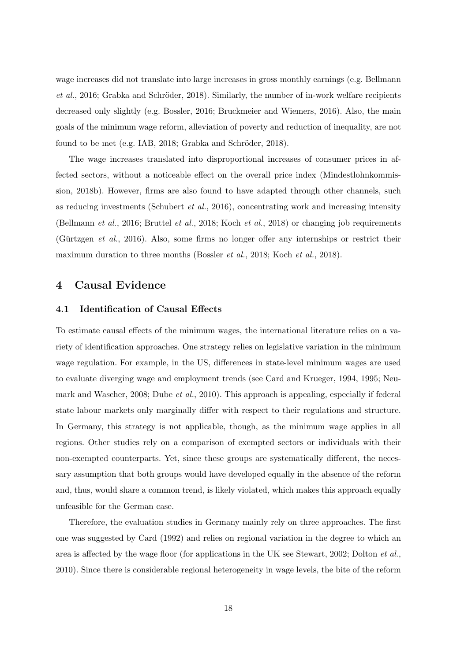wage increases did not translate into large increases in gross monthly earnings (e.g. [Bellmann](#page-33-14)  $et al., 2016$  $et al., 2016$ ; Grabka and Schröder, 2018). Similarly, the number of in-work welfare recipients decreased only slightly (e.g. [Bossler, 2016;](#page-34-9) [Bruckmeier and Wiemers, 2016\)](#page-35-6). Also, the main goals of the minimum wage reform, alleviation of poverty and reduction of inequality, are not found to be met (e.g. [IAB, 2018;](#page-37-13) Grabka and Schröder, 2018).

The wage increases translated into disproportional increases of consumer prices in affected sectors, without a noticeable effect on the overall price index [\(Mindestlohnkommis](#page-38-13)[sion, 2018b\)](#page-38-13). However, firms are also found to have adapted through other channels, such as reducing investments [\(Schubert](#page-39-15) *et al.*, [2016\)](#page-39-15), concentrating work and increasing intensity [\(Bellmann](#page-33-14) et al., [2016;](#page-33-14) [Bruttel](#page-35-5) et al., [2018;](#page-35-5) [Koch](#page-37-8) et al., [2018\)](#page-37-8) or changing job requirements (Gürtzgen *et al.*, [2016\)](#page-37-14). Also, some firms no longer offer any internships or restrict their maximum duration to three months [\(Bossler](#page-34-10) *et al.*, [2018;](#page-34-10) [Koch](#page-37-8) *et al.*, [2018\)](#page-37-8).

### <span id="page-19-0"></span>4 Causal Evidence

#### 4.1 Identification of Causal Effects

To estimate causal effects of the minimum wages, the international literature relies on a variety of identification approaches. One strategy relies on legislative variation in the minimum wage regulation. For example, in the US, differences in state-level minimum wages are used to evaluate diverging wage and employment trends (see [Card and Krueger, 1994,](#page-35-7) [1995;](#page-35-8) [Neu](#page-39-6)[mark and Wascher, 2008;](#page-39-6) [Dube](#page-36-14) *et al.*, [2010\)](#page-36-14). This approach is appealing, especially if federal state labour markets only marginally differ with respect to their regulations and structure. In Germany, this strategy is not applicable, though, as the minimum wage applies in all regions. Other studies rely on a comparison of exempted sectors or individuals with their non-exempted counterparts. Yet, since these groups are systematically different, the necessary assumption that both groups would have developed equally in the absence of the reform and, thus, would share a common trend, is likely violated, which makes this approach equally unfeasible for the German case.

Therefore, the evaluation studies in Germany mainly rely on three approaches. The first one was suggested by [Card](#page-35-9) [\(1992\)](#page-35-9) and relies on regional variation in the degree to which an area is affected by the wage floor (for applications in the UK see [Stewart, 2002;](#page-39-16) [Dolton](#page-36-15) *et al.*, [2010\)](#page-36-15). Since there is considerable regional heterogeneity in wage levels, the bite of the reform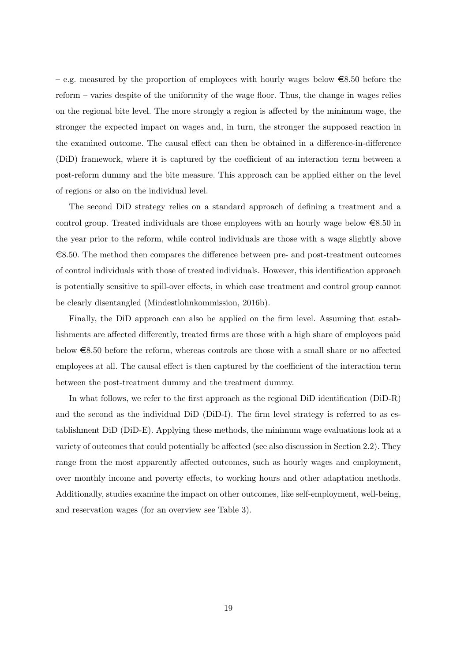– e.g. measured by the proportion of employees with hourly wages below  $\epsilon$ 8.50 before the reform – varies despite of the uniformity of the wage floor. Thus, the change in wages relies on the regional bite level. The more strongly a region is affected by the minimum wage, the stronger the expected impact on wages and, in turn, the stronger the supposed reaction in the examined outcome. The causal effect can then be obtained in a difference-in-difference (DiD) framework, where it is captured by the coefficient of an interaction term between a post-reform dummy and the bite measure. This approach can be applied either on the level of regions or also on the individual level.

The second DiD strategy relies on a standard approach of defining a treatment and a control group. Treated individuals are those employees with an hourly wage below  $\epsilon$ 8.50 in the year prior to the reform, while control individuals are those with a wage slightly above  $\epsilon$ 8.50. The method then compares the difference between pre- and post-treatment outcomes of control individuals with those of treated individuals. However, this identification approach is potentially sensitive to spill-over effects, in which case treatment and control group cannot be clearly disentangled [\(Mindestlohnkommission, 2016b\)](#page-38-4).

Finally, the DiD approach can also be applied on the firm level. Assuming that establishments are affected differently, treated firms are those with a high share of employees paid below  $\epsilon$ 8.50 before the reform, whereas controls are those with a small share or no affected employees at all. The causal effect is then captured by the coefficient of the interaction term between the post-treatment dummy and the treatment dummy.

In what follows, we refer to the first approach as the regional DiD identification (DiD-R) and the second as the individual DiD (DiD-I). The firm level strategy is referred to as establishment DiD (DiD-E). Applying these methods, the minimum wage evaluations look at a variety of outcomes that could potentially be affected (see also discussion in Section [2.2\)](#page-8-1). They range from the most apparently affected outcomes, such as hourly wages and employment, over monthly income and poverty effects, to working hours and other adaptation methods. Additionally, studies examine the impact on other outcomes, like self-employment, well-being, and reservation wages (for an overview see Table [3\)](#page-21-0).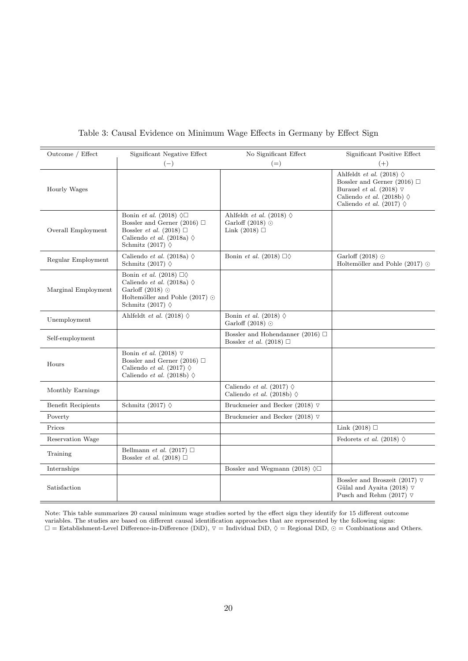<span id="page-21-0"></span>

|  | Table 3: Causal Evidence on Minimum Wage Effects in Germany by Effect Sign |  |  |  |  |
|--|----------------------------------------------------------------------------|--|--|--|--|
|  |                                                                            |  |  |  |  |

| Outcome / Effect          | Significant Negative Effect<br>$(-)$                                                                                                                                              | No Significant Effect<br>$(=)$                                                 | Significant Positive Effect<br>$(+)$                                                                                                                                                      |
|---------------------------|-----------------------------------------------------------------------------------------------------------------------------------------------------------------------------------|--------------------------------------------------------------------------------|-------------------------------------------------------------------------------------------------------------------------------------------------------------------------------------------|
| Hourly Wages              |                                                                                                                                                                                   |                                                                                | Ahlfeldt et al. (2018) $\diamond$<br>Bossler and Gerner (2016) $\Box$<br>Burauel et al. (2018) $\triangledown$<br>Caliendo et al. (2018b) $\diamond$<br>Caliendo et al. (2017) $\diamond$ |
| Overall Employment        | Bonin et al. (2018) $\Diamond \Box$<br>Bossler and Gerner (2016) $\Box$<br>Bossler <i>et al.</i> (2018) $\Box$<br>Caliendo et al. (2018a) $\diamond$<br>Schmitz (2017) $\diamond$ | Ahlfeldt et al. (2018) $\diamond$<br>Garloff $(2018)$ $\odot$<br>Link $(2018)$ |                                                                                                                                                                                           |
| Regular Employment        | Caliendo et al. (2018a) $\diamond$<br>Schmitz (2017) $\diamond$                                                                                                                   | Bonin et al. (2018) $\Box \Diamond$                                            | Garloff (2018) $\odot$<br>Holtemöller and Pohle (2017) $\odot$                                                                                                                            |
| Marginal Employment       | Bonin et al. (2018) $\Box \Diamond$<br>Caliendo et al. (2018a) $\diamond$<br>Garloff (2018) $\odot$<br>Holtemöller and Pohle (2017) $\odot$<br>Schmitz (2017) $\diamond$          |                                                                                |                                                                                                                                                                                           |
| Unemployment              | Ahlfeldt et al. (2018) $\diamond$                                                                                                                                                 | Bonin et al. (2018) $\diamond$<br>Garloff (2018) $\odot$                       |                                                                                                                                                                                           |
| Self-employment           |                                                                                                                                                                                   | Bossler and Hohendanner (2016) $\Box$<br>Bossler <i>et al.</i> (2018) $\Box$   |                                                                                                                                                                                           |
| Hours                     | Bonin et al. (2018) $\triangledown$<br>Bossler and Gerner (2016) $\Box$<br>Caliendo et al. (2017) $\diamond$<br>Caliendo et al. (2018b) $\diamond$                                |                                                                                |                                                                                                                                                                                           |
| Monthly Earnings          |                                                                                                                                                                                   | Caliendo et al. (2017) $\diamond$<br>Caliendo et al. (2018b) $\diamond$        |                                                                                                                                                                                           |
| <b>Benefit Recipients</b> | Schmitz (2017) $\diamond$                                                                                                                                                         | Bruckmeier and Becker (2018) $\nabla$                                          |                                                                                                                                                                                           |
| Poverty                   |                                                                                                                                                                                   | Bruckmeier and Becker (2018) $\nabla$                                          |                                                                                                                                                                                           |
| Prices                    |                                                                                                                                                                                   |                                                                                | Link $(2018)$                                                                                                                                                                             |
| Reservation Wage          |                                                                                                                                                                                   |                                                                                | Fedorets et al. (2018) $\diamond$                                                                                                                                                         |
| Training                  | Bellmann et al. (2017) $\Box$<br>Bossler <i>et al.</i> (2018) $\Box$                                                                                                              |                                                                                |                                                                                                                                                                                           |
| Internships               |                                                                                                                                                                                   | Bossler and Wegmann (2018) $\Diamond \Box$                                     |                                                                                                                                                                                           |
| Satisfaction              |                                                                                                                                                                                   |                                                                                | Bossler and Broszeit (2017) $\nabla$<br>Gülal and Ayaita (2018) $\nabla$<br>Pusch and Rehm (2017) $\nabla$                                                                                |

Note: This table summarizes 20 causal minimum wage studies sorted by the effect sign they identify for 15 different outcome variables. The studies are based on different causal identification approaches that are represented by the following signs:<br> $\square =$  Establishment-Level Difference-in-Difference (DiD),  $\square =$  Individual DiD,  $\diamondsuit =$  Regional D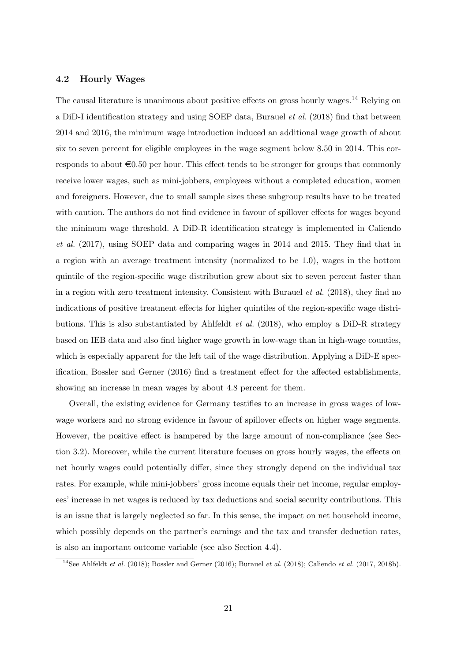#### <span id="page-22-0"></span>4.2 Hourly Wages

The causal literature is unanimous about positive effects on gross hourly wages.<sup>[14](#page--1-0)</sup> Relying on a DiD-I identification strategy and using SOEP data, [Burauel](#page-35-10) *et al.* [\(2018\)](#page-35-10) find that between 2014 and 2016, the minimum wage introduction induced an additional wage growth of about six to seven percent for eligible employees in the wage segment below 8.50 in 2014. This corresponds to about  $\epsilon 0.50$  per hour. This effect tends to be stronger for groups that commonly receive lower wages, such as mini-jobbers, employees without a completed education, women and foreigners. However, due to small sample sizes these subgroup results have to be treated with caution. The authors do not find evidence in favour of spillover effects for wages beyond the minimum wage threshold. A DiD-R identification strategy is implemented in [Caliendo](#page-35-4) [et al.](#page-35-4) [\(2017\)](#page-35-4), using SOEP data and comparing wages in 2014 and 2015. They find that in a region with an average treatment intensity (normalized to be 1.0), wages in the bottom quintile of the region-specific wage distribution grew about six to seven percent faster than in a region with zero treatment intensity. Consistent with [Burauel](#page-35-10)  $et al. (2018)$  $et al. (2018)$ , they find no indications of positive treatment effects for higher quintiles of the region-specific wage distri-butions. This is also substantiated by [Ahlfeldt](#page-33-15) *et al.* [\(2018\)](#page-33-15), who employ a DiD-R strategy based on IEB data and also find higher wage growth in low-wage than in high-wage counties, which is especially apparent for the left tail of the wage distribution. Applying a DiD-E specification, [Bossler and Gerner](#page-34-11) [\(2016\)](#page-34-11) find a treatment effect for the affected establishments, showing an increase in mean wages by about 4.8 percent for them.

Overall, the existing evidence for Germany testifies to an increase in gross wages of lowwage workers and no strong evidence in favour of spillover effects on higher wage segments. However, the positive effect is hampered by the large amount of non-compliance (see Section [3.2\)](#page-15-0). Moreover, while the current literature focuses on gross hourly wages, the effects on net hourly wages could potentially differ, since they strongly depend on the individual tax rates. For example, while mini-jobbers' gross income equals their net income, regular employees' increase in net wages is reduced by tax deductions and social security contributions. This is an issue that is largely neglected so far. In this sense, the impact on net household income, which possibly depends on the partner's earnings and the tax and transfer deduction rates, is also an important outcome variable (see also Section [4.4\)](#page-26-0).

<sup>&</sup>lt;sup>14</sup>See [Ahlfeldt](#page-33-15) *et al.* [\(2018\)](#page-35-10); [Bossler and Gerner](#page-34-11) [\(2016\)](#page-34-11); [Burauel](#page-35-10) *et al.* (2018); [Caliendo](#page-35-4) *et al.* [\(2017,](#page-35-4) [2018b\)](#page-35-11).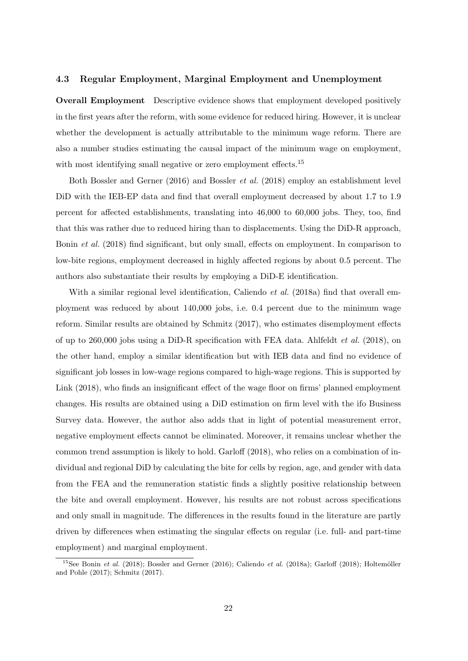#### 4.3 Regular Employment, Marginal Employment and Unemployment

Overall Employment Descriptive evidence shows that employment developed positively in the first years after the reform, with some evidence for reduced hiring. However, it is unclear whether the development is actually attributable to the minimum wage reform. There are also a number studies estimating the causal impact of the minimum wage on employment, with most identifying small negative or zero employment effects.<sup>[15](#page--1-0)</sup>

Both [Bossler and Gerner](#page-34-11) [\(2016\)](#page-34-11) and [Bossler](#page-34-10) et al. [\(2018\)](#page-34-10) employ an establishment level DiD with the IEB-EP data and find that overall employment decreased by about 1.7 to 1.9 percent for affected establishments, translating into 46,000 to 60,000 jobs. They, too, find that this was rather due to reduced hiring than to displacements. Using the DiD-R approach, [Bonin](#page-34-12) et al. [\(2018\)](#page-34-12) find significant, but only small, effects on employment. In comparison to low-bite regions, employment decreased in highly affected regions by about 0.5 percent. The authors also substantiate their results by employing a DiD-E identification.

With a similar regional level identification, [Caliendo](#page-35-12) *et al.* [\(2018a\)](#page-35-12) find that overall employment was reduced by about 140,000 jobs, i.e. 0.4 percent due to the minimum wage reform. Similar results are obtained by [Schmitz](#page-39-17) [\(2017\)](#page-39-17), who estimates disemployment effects of up to 260,000 jobs using a DiD-R specification with FEA data. [Ahlfeldt](#page-33-15) *et al.* [\(2018\)](#page-33-15), on the other hand, employ a similar identification but with IEB data and find no evidence of significant job losses in low-wage regions compared to high-wage regions. This is supported by [Link](#page-38-17) [\(2018\)](#page-38-17), who finds an insignificant effect of the wage floor on firms' planned employment changes. His results are obtained using a DiD estimation on firm level with the ifo Business Survey data. However, the author also adds that in light of potential measurement error, negative employment effects cannot be eliminated. Moreover, it remains unclear whether the common trend assumption is likely to hold. [Garloff](#page-37-15) [\(2018\)](#page-37-15), who relies on a combination of individual and regional DiD by calculating the bite for cells by region, age, and gender with data from the FEA and the remuneration statistic finds a slightly positive relationship between the bite and overall employment. However, his results are not robust across specifications and only small in magnitude. The differences in the results found in the literature are partly driven by differences when estimating the singular effects on regular (i.e. full- and part-time employment) and marginal employment.

<sup>&</sup>lt;sup>15</sup>See [Bonin](#page-34-12) et al. [\(2018\)](#page-37-15); [Bossler and Gerner](#page-34-11) [\(2016\)](#page-34-11); [Caliendo](#page-35-12) et al. [\(2018a\)](#page-35-12); [Garloff](#page-37-15) (2018); Holtemöller [and Pohle](#page-37-16) [\(2017\)](#page-37-16); [Schmitz](#page-39-17) [\(2017\)](#page-39-17).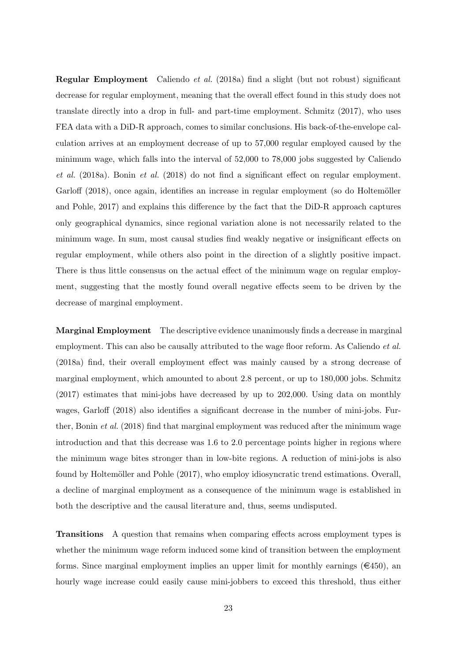Regular Employment [Caliendo](#page-35-12) et al. [\(2018a\)](#page-35-12) find a slight (but not robust) significant decrease for regular employment, meaning that the overall effect found in this study does not translate directly into a drop in full- and part-time employment. [Schmitz](#page-39-17) [\(2017\)](#page-39-17), who uses FEA data with a DiD-R approach, comes to similar conclusions. His back-of-the-envelope calculation arrives at an employment decrease of up to 57,000 regular employed caused by the minimum wage, which falls into the interval of 52,000 to 78,000 jobs suggested by [Caliendo](#page-35-12) [et al.](#page-35-12) [\(2018a\)](#page-35-12). [Bonin](#page-34-12) et al. [\(2018\)](#page-34-12) do not find a significant effect on regular employment. [Garloff](#page-37-15) [\(2018\)](#page-37-15), once again, identifies an increase in regular employment (so do Holtemöller [and Pohle, 2017\)](#page-37-16) and explains this difference by the fact that the DiD-R approach captures only geographical dynamics, since regional variation alone is not necessarily related to the minimum wage. In sum, most causal studies find weakly negative or insignificant effects on regular employment, while others also point in the direction of a slightly positive impact. There is thus little consensus on the actual effect of the minimum wage on regular employment, suggesting that the mostly found overall negative effects seem to be driven by the decrease of marginal employment.

Marginal Employment The descriptive evidence unanimously finds a decrease in marginal employment. This can also be causally attributed to the wage floor reform. As [Caliendo](#page-35-12) *et al.* [\(2018a\)](#page-35-12) find, their overall employment effect was mainly caused by a strong decrease of marginal employment, which amounted to about 2.8 percent, or up to 180,000 jobs. [Schmitz](#page-39-17) [\(2017\)](#page-39-17) estimates that mini-jobs have decreased by up to 202,000. Using data on monthly wages, [Garloff](#page-37-15) [\(2018\)](#page-37-15) also identifies a significant decrease in the number of mini-jobs. Further, [Bonin](#page-34-12) et al. [\(2018\)](#page-34-12) find that marginal employment was reduced after the minimum wage introduction and that this decrease was 1.6 to 2.0 percentage points higher in regions where the minimum wage bites stronger than in low-bite regions. A reduction of mini-jobs is also found by Holtemöller and Pohle [\(2017\)](#page-37-16), who employ idiosyncratic trend estimations. Overall, a decline of marginal employment as a consequence of the minimum wage is established in both the descriptive and the causal literature and, thus, seems undisputed.

Transitions A question that remains when comparing effects across employment types is whether the minimum wage reform induced some kind of transition between the employment forms. Since marginal employment implies an upper limit for monthly earnings ( $\in$ 450), an hourly wage increase could easily cause mini-jobbers to exceed this threshold, thus either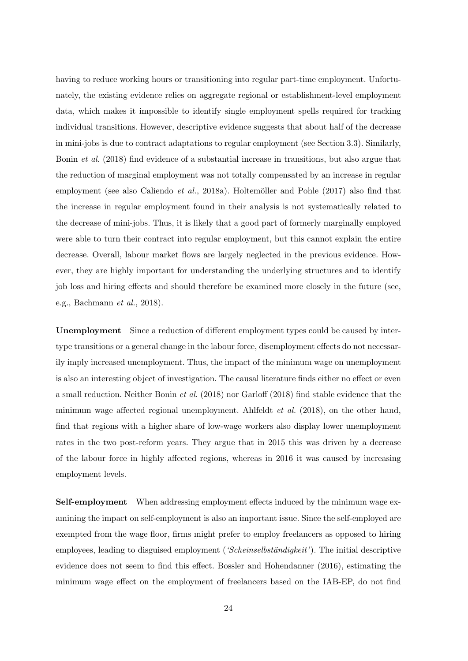having to reduce working hours or transitioning into regular part-time employment. Unfortunately, the existing evidence relies on aggregate regional or establishment-level employment data, which makes it impossible to identify single employment spells required for tracking individual transitions. However, descriptive evidence suggests that about half of the decrease in mini-jobs is due to contract adaptations to regular employment (see Section [3.3\)](#page-18-0). Similarly, [Bonin](#page-34-12) et al. [\(2018\)](#page-34-12) find evidence of a substantial increase in transitions, but also argue that the reduction of marginal employment was not totally compensated by an increase in regular employment (see also [Caliendo](#page-35-12) *et al.*, [2018a\)](#page-35-12). Holtemöller and Pohle  $(2017)$  also find that the increase in regular employment found in their analysis is not systematically related to the decrease of mini-jobs. Thus, it is likely that a good part of formerly marginally employed were able to turn their contract into regular employment, but this cannot explain the entire decrease. Overall, labour market flows are largely neglected in the previous evidence. However, they are highly important for understanding the underlying structures and to identify job loss and hiring effects and should therefore be examined more closely in the future (see, e.g., [Bachmann](#page-33-7) et al., [2018\)](#page-33-7).

Unemployment Since a reduction of different employment types could be caused by intertype transitions or a general change in the labour force, disemployment effects do not necessarily imply increased unemployment. Thus, the impact of the minimum wage on unemployment is also an interesting object of investigation. The causal literature finds either no effect or even a small reduction. Neither [Bonin](#page-34-12) et al. [\(2018\)](#page-34-12) nor [Garloff](#page-37-15) [\(2018\)](#page-37-15) find stable evidence that the minimum wage affected regional unemployment. [Ahlfeldt](#page-33-15) et al. [\(2018\)](#page-33-15), on the other hand, find that regions with a higher share of low-wage workers also display lower unemployment rates in the two post-reform years. They argue that in 2015 this was driven by a decrease of the labour force in highly affected regions, whereas in 2016 it was caused by increasing employment levels.

Self-employment When addressing employment effects induced by the minimum wage examining the impact on self-employment is also an important issue. Since the self-employed are exempted from the wage floor, firms might prefer to employ freelancers as opposed to hiring employees, leading to disguised employment ('Scheinselbständigkeit'). The initial descriptive evidence does not seem to find this effect. [Bossler and Hohendanner](#page-34-13) [\(2016\)](#page-34-13), estimating the minimum wage effect on the employment of freelancers based on the IAB-EP, do not find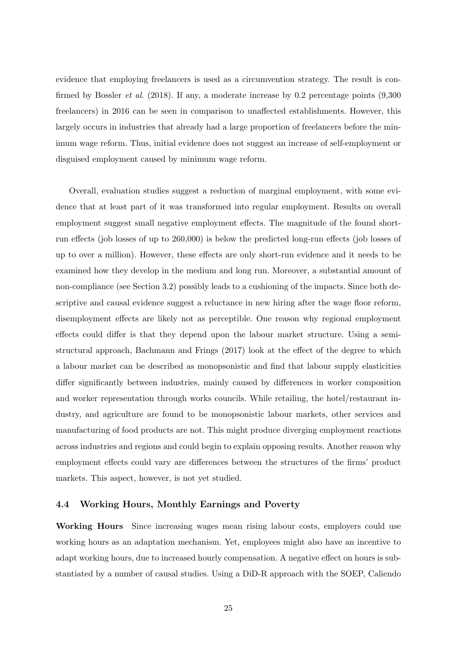evidence that employing freelancers is used as a circumvention strategy. The result is confirmed by [Bossler](#page-34-10) et al. [\(2018\)](#page-34-10). If any, a moderate increase by 0.2 percentage points (9,300 freelancers) in 2016 can be seen in comparison to unaffected establishments. However, this largely occurs in industries that already had a large proportion of freelancers before the minimum wage reform. Thus, initial evidence does not suggest an increase of self-employment or disguised employment caused by minimum wage reform.

Overall, evaluation studies suggest a reduction of marginal employment, with some evidence that at least part of it was transformed into regular employment. Results on overall employment suggest small negative employment effects. The magnitude of the found shortrun effects (job losses of up to 260,000) is below the predicted long-run effects (job losses of up to over a million). However, these effects are only short-run evidence and it needs to be examined how they develop in the medium and long run. Moreover, a substantial amount of non-compliance (see Section [3.2\)](#page-15-0) possibly leads to a cushioning of the impacts. Since both descriptive and causal evidence suggest a reluctance in new hiring after the wage floor reform, disemployment effects are likely not as perceptible. One reason why regional employment effects could differ is that they depend upon the labour market structure. Using a semistructural approach, [Bachmann and Frings](#page-33-17) [\(2017\)](#page-33-17) look at the effect of the degree to which a labour market can be described as monopsonistic and find that labour supply elasticities differ significantly between industries, mainly caused by differences in worker composition and worker representation through works councils. While retailing, the hotel/restaurant industry, and agriculture are found to be monopsonistic labour markets, other services and manufacturing of food products are not. This might produce diverging employment reactions across industries and regions and could begin to explain opposing results. Another reason why employment effects could vary are differences between the structures of the firms' product markets. This aspect, however, is not yet studied.

#### <span id="page-26-0"></span>4.4 Working Hours, Monthly Earnings and Poverty

Working Hours Since increasing wages mean rising labour costs, employers could use working hours as an adaptation mechanism. Yet, employees might also have an incentive to adapt working hours, due to increased hourly compensation. A negative effect on hours is substantiated by a number of causal studies. Using a DiD-R approach with the SOEP, [Caliendo](#page-35-4)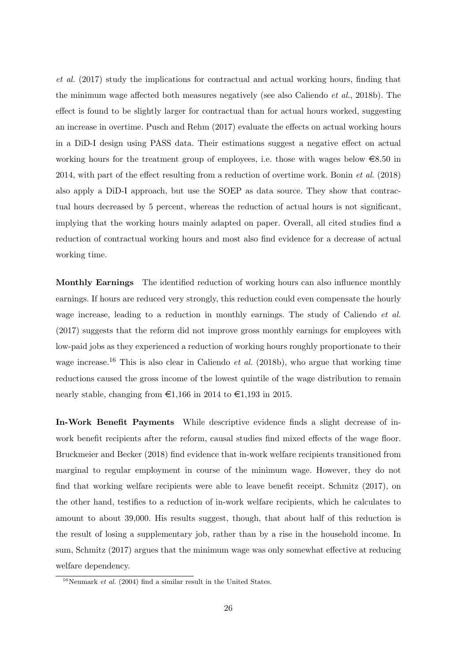[et al.](#page-35-4) [\(2017\)](#page-35-4) study the implications for contractual and actual working hours, finding that the minimum wage affected both measures negatively (see also [Caliendo](#page-35-11) et al., [2018b\)](#page-35-11). The effect is found to be slightly larger for contractual than for actual hours worked, suggesting an increase in overtime. [Pusch and Rehm](#page-39-18) [\(2017\)](#page-39-18) evaluate the effects on actual working hours in a DiD-I design using PASS data. Their estimations suggest a negative effect on actual working hours for the treatment group of employees, i.e. those with wages below  $\epsilon$ 8.50 in 2014, with part of the effect resulting from a reduction of overtime work. [Bonin](#page-34-12) et al. [\(2018\)](#page-34-12) also apply a DiD-I approach, but use the SOEP as data source. They show that contractual hours decreased by 5 percent, whereas the reduction of actual hours is not significant, implying that the working hours mainly adapted on paper. Overall, all cited studies find a reduction of contractual working hours and most also find evidence for a decrease of actual working time.

Monthly Earnings The identified reduction of working hours can also influence monthly earnings. If hours are reduced very strongly, this reduction could even compensate the hourly wage increase, leading to a reduction in monthly earnings. The study of [Caliendo](#page-35-4) *et al.* [\(2017\)](#page-35-4) suggests that the reform did not improve gross monthly earnings for employees with low-paid jobs as they experienced a reduction of working hours roughly proportionate to their wage increase.<sup>[16](#page--1-0)</sup> This is also clear in [Caliendo](#page-35-11) *et al.* [\(2018b\)](#page-35-11), who argue that working time reductions caused the gross income of the lowest quintile of the wage distribution to remain nearly stable, changing from  $\epsilon 1,166$  in 2014 to  $\epsilon 1,193$  in 2015.

In-Work Benefit Payments While descriptive evidence finds a slight decrease of inwork benefit recipients after the reform, causal studies find mixed effects of the wage floor. [Bruckmeier and Becker](#page-35-13) [\(2018\)](#page-35-13) find evidence that in-work welfare recipients transitioned from marginal to regular employment in course of the minimum wage. However, they do not find that working welfare recipients were able to leave benefit receipt. [Schmitz](#page-39-17) [\(2017\)](#page-39-17), on the other hand, testifies to a reduction of in-work welfare recipients, which he calculates to amount to about 39,000. His results suggest, though, that about half of this reduction is the result of losing a supplementary job, rather than by a rise in the household income. In sum, [Schmitz](#page-39-17) [\(2017\)](#page-39-17) argues that the minimum wage was only somewhat effective at reducing welfare dependency.

<sup>&</sup>lt;sup>16</sup>[Neumark](#page-39-8) *et al.* [\(2004\)](#page-39-8) find a similar result in the United States.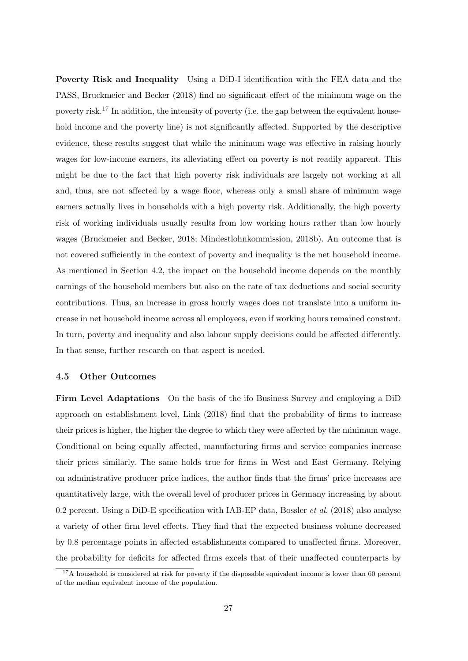Poverty Risk and Inequality Using a DiD-I identification with the FEA data and the PASS, [Bruckmeier and Becker](#page-35-13) [\(2018\)](#page-35-13) find no significant effect of the minimum wage on the poverty risk.[17](#page--1-0) In addition, the intensity of poverty (i.e. the gap between the equivalent household income and the poverty line) is not significantly affected. Supported by the descriptive evidence, these results suggest that while the minimum wage was effective in raising hourly wages for low-income earners, its alleviating effect on poverty is not readily apparent. This might be due to the fact that high poverty risk individuals are largely not working at all and, thus, are not affected by a wage floor, whereas only a small share of minimum wage earners actually lives in households with a high poverty risk. Additionally, the high poverty risk of working individuals usually results from low working hours rather than low hourly wages [\(Bruckmeier and Becker, 2018;](#page-35-13) [Mindestlohnkommission, 2018b\)](#page-38-13). An outcome that is not covered sufficiently in the context of poverty and inequality is the net household income. As mentioned in Section [4.2,](#page-22-0) the impact on the household income depends on the monthly earnings of the household members but also on the rate of tax deductions and social security contributions. Thus, an increase in gross hourly wages does not translate into a uniform increase in net household income across all employees, even if working hours remained constant. In turn, poverty and inequality and also labour supply decisions could be affected differently. In that sense, further research on that aspect is needed.

#### 4.5 Other Outcomes

Firm Level Adaptations On the basis of the ifo Business Survey and employing a DiD approach on establishment level, [Link](#page-38-17) [\(2018\)](#page-38-17) find that the probability of firms to increase their prices is higher, the higher the degree to which they were affected by the minimum wage. Conditional on being equally affected, manufacturing firms and service companies increase their prices similarly. The same holds true for firms in West and East Germany. Relying on administrative producer price indices, the author finds that the firms' price increases are quantitatively large, with the overall level of producer prices in Germany increasing by about 0.2 percent. Using a DiD-E specification with IAB-EP data, [Bossler](#page-34-10) *et al.* [\(2018\)](#page-34-10) also analyse a variety of other firm level effects. They find that the expected business volume decreased by 0.8 percentage points in affected establishments compared to unaffected firms. Moreover, the probability for deficits for affected firms excels that of their unaffected counterparts by

<sup>&</sup>lt;sup>17</sup>A household is considered at risk for poverty if the disposable equivalent income is lower than 60 percent of the median equivalent income of the population.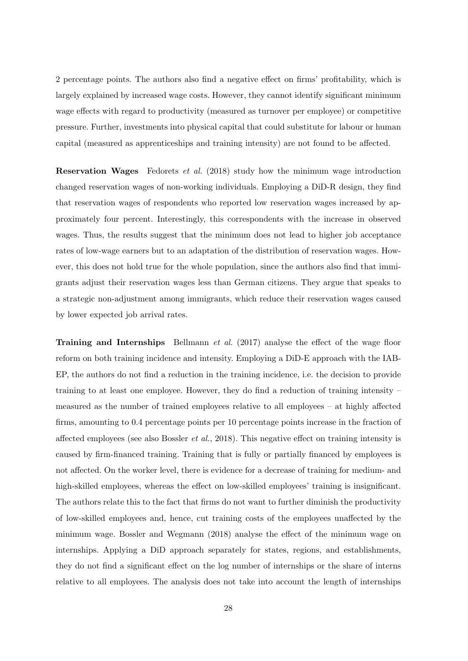2 percentage points. The authors also find a negative effect on firms' profitability, which is largely explained by increased wage costs. However, they cannot identify significant minimum wage effects with regard to productivity (measured as turnover per employee) or competitive pressure. Further, investments into physical capital that could substitute for labour or human capital (measured as apprenticeships and training intensity) are not found to be affected.

Reservation Wages [Fedorets](#page-36-16) et al. [\(2018\)](#page-36-16) study how the minimum wage introduction changed reservation wages of non-working individuals. Employing a DiD-R design, they find that reservation wages of respondents who reported low reservation wages increased by approximately four percent. Interestingly, this correspondents with the increase in observed wages. Thus, the results suggest that the minimum does not lead to higher job acceptance rates of low-wage earners but to an adaptation of the distribution of reservation wages. However, this does not hold true for the whole population, since the authors also find that immigrants adjust their reservation wages less than German citizens. They argue that speaks to a strategic non-adjustment among immigrants, which reduce their reservation wages caused by lower expected job arrival rates.

**Training and Internships** [Bellmann](#page-33-16) *et al.* [\(2017\)](#page-33-16) analyse the effect of the wage floor reform on both training incidence and intensity. Employing a DiD-E approach with the IAB-EP, the authors do not find a reduction in the training incidence, i.e. the decision to provide training to at least one employee. However, they do find a reduction of training intensity – measured as the number of trained employees relative to all employees – at highly affected firms, amounting to 0.4 percentage points per 10 percentage points increase in the fraction of affected employees (see also [Bossler](#page-34-10) *et al.*, [2018\)](#page-34-10). This negative effect on training intensity is caused by firm-financed training. Training that is fully or partially financed by employees is not affected. On the worker level, there is evidence for a decrease of training for medium- and high-skilled employees, whereas the effect on low-skilled employees' training is insignificant. The authors relate this to the fact that firms do not want to further diminish the productivity of low-skilled employees and, hence, cut training costs of the employees unaffected by the minimum wage. [Bossler and Wegmann](#page-35-14) [\(2018\)](#page-35-14) analyse the effect of the minimum wage on internships. Applying a DiD approach separately for states, regions, and establishments, they do not find a significant effect on the log number of internships or the share of interns relative to all employees. The analysis does not take into account the length of internships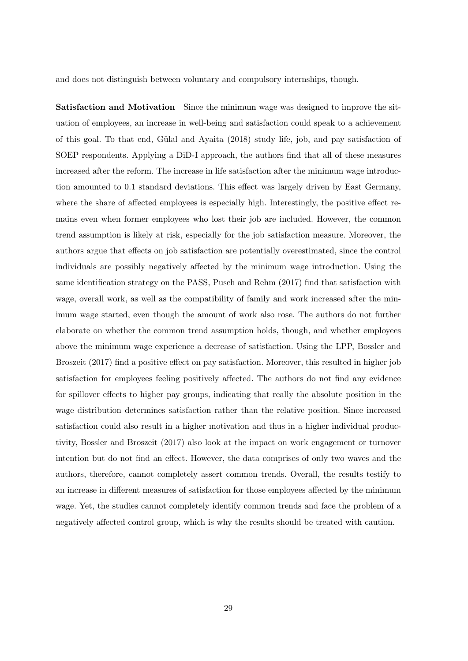and does not distinguish between voluntary and compulsory internships, though.

Satisfaction and Motivation Since the minimum wage was designed to improve the situation of employees, an increase in well-being and satisfaction could speak to a achievement of this goal. To that end, [G¨ulal and Ayaita](#page-37-17) [\(2018\)](#page-37-17) study life, job, and pay satisfaction of SOEP respondents. Applying a DiD-I approach, the authors find that all of these measures increased after the reform. The increase in life satisfaction after the minimum wage introduction amounted to 0.1 standard deviations. This effect was largely driven by East Germany, where the share of affected employees is especially high. Interestingly, the positive effect remains even when former employees who lost their job are included. However, the common trend assumption is likely at risk, especially for the job satisfaction measure. Moreover, the authors argue that effects on job satisfaction are potentially overestimated, since the control individuals are possibly negatively affected by the minimum wage introduction. Using the same identification strategy on the PASS, [Pusch and Rehm](#page-39-18) [\(2017\)](#page-39-18) find that satisfaction with wage, overall work, as well as the compatibility of family and work increased after the minimum wage started, even though the amount of work also rose. The authors do not further elaborate on whether the common trend assumption holds, though, and whether employees above the minimum wage experience a decrease of satisfaction. Using the LPP, [Bossler and](#page-34-14) [Broszeit](#page-34-14) [\(2017\)](#page-34-14) find a positive effect on pay satisfaction. Moreover, this resulted in higher job satisfaction for employees feeling positively affected. The authors do not find any evidence for spillover effects to higher pay groups, indicating that really the absolute position in the wage distribution determines satisfaction rather than the relative position. Since increased satisfaction could also result in a higher motivation and thus in a higher individual productivity, [Bossler and Broszeit](#page-34-14) [\(2017\)](#page-34-14) also look at the impact on work engagement or turnover intention but do not find an effect. However, the data comprises of only two waves and the authors, therefore, cannot completely assert common trends. Overall, the results testify to an increase in different measures of satisfaction for those employees affected by the minimum wage. Yet, the studies cannot completely identify common trends and face the problem of a negatively affected control group, which is why the results should be treated with caution.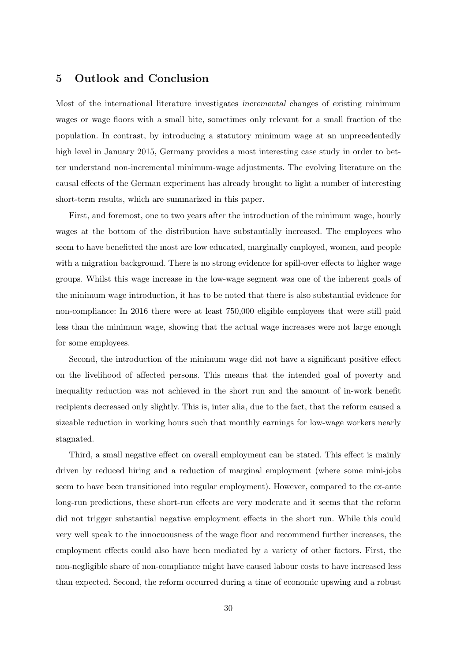### <span id="page-31-0"></span>5 Outlook and Conclusion

Most of the international literature investigates incremental changes of existing minimum wages or wage floors with a small bite, sometimes only relevant for a small fraction of the population. In contrast, by introducing a statutory minimum wage at an unprecedentedly high level in January 2015, Germany provides a most interesting case study in order to better understand non-incremental minimum-wage adjustments. The evolving literature on the causal effects of the German experiment has already brought to light a number of interesting short-term results, which are summarized in this paper.

First, and foremost, one to two years after the introduction of the minimum wage, hourly wages at the bottom of the distribution have substantially increased. The employees who seem to have benefitted the most are low educated, marginally employed, women, and people with a migration background. There is no strong evidence for spill-over effects to higher wage groups. Whilst this wage increase in the low-wage segment was one of the inherent goals of the minimum wage introduction, it has to be noted that there is also substantial evidence for non-compliance: In 2016 there were at least 750,000 eligible employees that were still paid less than the minimum wage, showing that the actual wage increases were not large enough for some employees.

Second, the introduction of the minimum wage did not have a significant positive effect on the livelihood of affected persons. This means that the intended goal of poverty and inequality reduction was not achieved in the short run and the amount of in-work benefit recipients decreased only slightly. This is, inter alia, due to the fact, that the reform caused a sizeable reduction in working hours such that monthly earnings for low-wage workers nearly stagnated.

Third, a small negative effect on overall employment can be stated. This effect is mainly driven by reduced hiring and a reduction of marginal employment (where some mini-jobs seem to have been transitioned into regular employment). However, compared to the ex-ante long-run predictions, these short-run effects are very moderate and it seems that the reform did not trigger substantial negative employment effects in the short run. While this could very well speak to the innocuousness of the wage floor and recommend further increases, the employment effects could also have been mediated by a variety of other factors. First, the non-negligible share of non-compliance might have caused labour costs to have increased less than expected. Second, the reform occurred during a time of economic upswing and a robust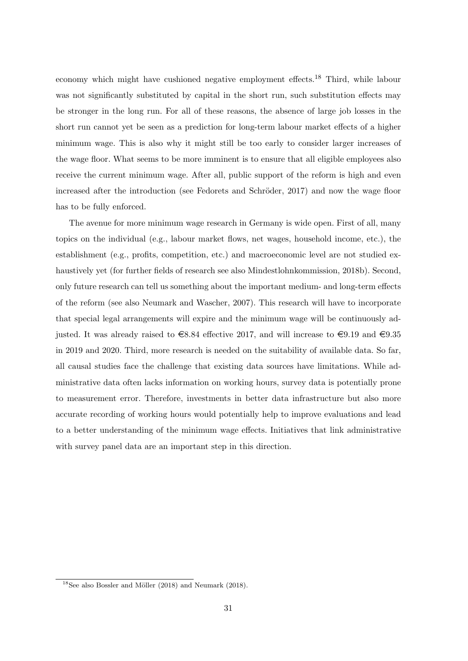economy which might have cushioned negative employment effects.[18](#page--1-0) Third, while labour was not significantly substituted by capital in the short run, such substitution effects may be stronger in the long run. For all of these reasons, the absence of large job losses in the short run cannot yet be seen as a prediction for long-term labour market effects of a higher minimum wage. This is also why it might still be too early to consider larger increases of the wage floor. What seems to be more imminent is to ensure that all eligible employees also receive the current minimum wage. After all, public support of the reform is high and even increased after the introduction (see Fedorets and Schröder, 2017) and now the wage floor has to be fully enforced.

The avenue for more minimum wage research in Germany is wide open. First of all, many topics on the individual (e.g., labour market flows, net wages, household income, etc.), the establishment (e.g., profits, competition, etc.) and macroeconomic level are not studied exhaustively yet (for further fields of research see also [Mindestlohnkommission, 2018b\)](#page-38-13). Second, only future research can tell us something about the important medium- and long-term effects of the reform (see also [Neumark and Wascher, 2007\)](#page-39-19). This research will have to incorporate that special legal arrangements will expire and the minimum wage will be continuously adjusted. It was already raised to  $\in$ 8.84 effective 2017, and will increase to  $\in$ 9.19 and  $\in$ 9.35 in 2019 and 2020. Third, more research is needed on the suitability of available data. So far, all causal studies face the challenge that existing data sources have limitations. While administrative data often lacks information on working hours, survey data is potentially prone to measurement error. Therefore, investments in better data infrastructure but also more accurate recording of working hours would potentially help to improve evaluations and lead to a better understanding of the minimum wage effects. Initiatives that link administrative with survey panel data are an important step in this direction.

 $18$ See also Bossler and Möller [\(2018\)](#page-39-0) and [Neumark](#page-39-0) (2018).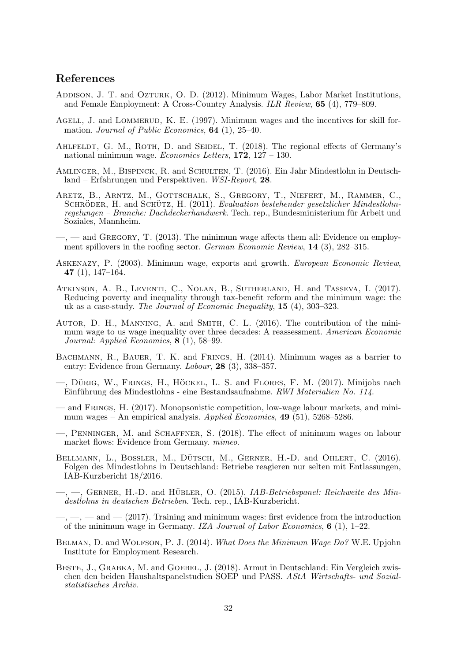### <span id="page-33-19"></span><span id="page-33-18"></span>References

- <span id="page-33-1"></span>ADDISON, J. T. and OZTURK, O. D. (2012). Minimum Wages, Labor Market Institutions, and Female Employment: A Cross-Country Analysis. ILR Review, 65 (4), 779–809.
- <span id="page-33-10"></span>AGELL, J. and LOMMERUD, K. E. (1997). Minimum wages and the incentives for skill formation. Journal of Public Economics, 64 (1), 25–40.
- <span id="page-33-15"></span>AHLFELDT, G. M., ROTH, D. and SEIDEL, T. (2018). The regional effects of Germany's national minimum wage. Economics Letters, 172, 127 – 130.
- <span id="page-33-0"></span>Amlinger, M., Bispinck, R. and Schulten, T. (2016). Ein Jahr Mindestlohn in Deutschland – Erfahrungen und Perspektiven. WSI-Report, 28.
- <span id="page-33-6"></span>Aretz, B., Arntz, M., Gottschalk, S., Gregory, T., Niefert, M., Rammer, C., SCHRÖDER, H. and SCHÜTZ, H. (2011). Evaluation bestehender gesetzlicher Mindestlohnregelungen – Branche: Dachdeckerhandwerk. Tech. rep., Bundesministerium für Arbeit und Soziales, Mannheim.
- <span id="page-33-4"></span> $-$ ,  $-$  and GREGORY, T. (2013). The minimum wage affects them all: Evidence on employment spillovers in the roofing sector. German Economic Review, 14 (3), 282–315.
- <span id="page-33-5"></span>Askenazy, P. (2003). Minimum wage, exports and growth. European Economic Review, 47 (1), 147–164.
- <span id="page-33-9"></span>Atkinson, A. B., Leventi, C., Nolan, B., Sutherland, H. and Tasseva, I. (2017). Reducing poverty and inequality through tax-benefit reform and the minimum wage: the uk as a case-study. The Journal of Economic Inequality, 15 (4), 303–323.
- <span id="page-33-2"></span>AUTOR, D. H., MANNING, A. and SMITH, C. L. (2016). The contribution of the minimum wage to us wage inequality over three decades: A reassessment. American Economic Journal: Applied Economics, 8 (1), 58–99.
- <span id="page-33-3"></span>BACHMANN, R., BAUER, T. K. and FRINGS, H. (2014). Minimum wages as a barrier to entry: Evidence from Germany. Labour, 28 (3), 338–357.
- <span id="page-33-12"></span> $-$ , Dürig, W., Frings, H., Höckel, L. S. and Flores, F. M. (2017). Minijobs nach Einführung des Mindestlohns - eine Bestandsaufnahme. RWI Materialien No. 114.
- <span id="page-33-17"></span>— and Frings, H. (2017). Monopsonistic competition, low-wage labour markets, and minimum wages – An empirical analysis. Applied Economics,  $49(51)$ , 5268–5286.
- <span id="page-33-7"></span>—, Penninger, M. and Schaffner, S. (2018). The effect of minimum wages on labour market flows: Evidence from Germany. mimeo.
- <span id="page-33-14"></span>BELLMANN, L., BOSSLER, M., DÜTSCH, M., GERNER, H.-D. and OHLERT, C. (2016). Folgen des Mindestlohns in Deutschland: Betriebe reagieren nur selten mit Entlassungen, IAB-Kurzbericht 18/2016.
- <span id="page-33-13"></span> $\rightarrow$ , GERNER, H.-D. and HÜBLER, O. (2015). *IAB-Betriebspanel: Reichweite des Min*destlohns in deutschen Betrieben. Tech. rep., IAB-Kurzbericht.
- <span id="page-33-16"></span> $-,-$ ,  $-$ ,  $-$  and  $-$  (2017). Training and minimum wages: first evidence from the introduction of the minimum wage in Germany. IZA Journal of Labor Economics,  $6$  (1), 1–22.
- <span id="page-33-8"></span>BELMAN, D. and WOLFSON, P. J. (2014). What Does the Minimum Wage Do? W.E. Upjohn Institute for Employment Research.
- <span id="page-33-11"></span>BESTE, J., GRABKA, M. and GOEBEL, J. (2018). Armut in Deutschland: Ein Vergleich zwischen den beiden Haushaltspanelstudien SOEP und PASS. AStA Wirtschafts- und Sozialstatistisches Archiv.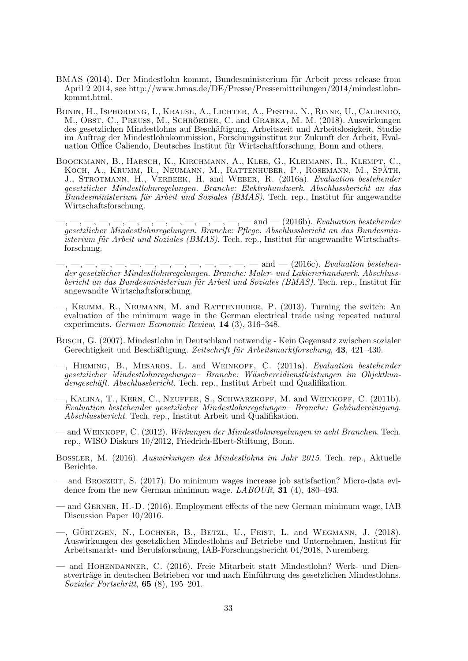- <span id="page-34-19"></span><span id="page-34-18"></span><span id="page-34-17"></span><span id="page-34-16"></span><span id="page-34-15"></span><span id="page-34-1"></span>BMAS (2014). Der Mindestlohn kommt, Bundesministerium für Arbeit press release from April 2 2014, see http://www.bmas.de/DE/Presse/Pressemitteilungen/2014/mindestlohnkommt.html.
- <span id="page-34-12"></span>Bonin, H., Isphording, I., Krause, A., Lichter, A., Pestel, N., Rinne, U., Caliendo, M., Obst, C., Preuss, M., SCHRÖEDER, C. and GRABKA, M. M. (2018). Auswirkungen des gesetzlichen Mindestlohns auf Besch¨aftigung, Arbeitszeit und Arbeitslosigkeit, Studie im Auftrag der Mindestlohnkommission, Forschungsinstitut zur Zukunft der Arbeit, Evaluation Office Caliendo, Deutsches Institut für Wirtschaftforschung, Bonn and others.
- <span id="page-34-3"></span>Boockmann, B., Harsch, K., Kirchmann, A., Klee, G., Kleimann, R., Klempt, C., KOCH, A., KRUMM, R., NEUMANN, M., RATTENHUBER, P., ROSEMANN, M., SPÄTH, J., STROTMANN, H., VERBEEK, H. and WEBER, R. (2016a). Evaluation bestehender gesetzlicher Mindestlohnregelungen. Branche: Elektrohandwerk. Abschlussbericht an das  $Bundesministerium für Arbeit und Soziales (BMAS). Tech. rep., Institut für angewandte$ Wirtschaftsforschung.
- <span id="page-34-5"></span> $\_, \_, \_, \_, \_, \_, \_, \_, \_ \$  and  $\_$  (2016b). Evaluation bestehender gesetzlicher Mindestlohnregelungen. Branche: Pflege. Abschlussbericht an das Bundesministerium für Arbeit und Soziales (BMAS). Tech. rep., Institut für angewandte Wirtschaftsforschung.
- <span id="page-34-6"></span> $-,-,-,-,-,--,--$  and  $-$  (2016c). Evaluation bestehender gesetzlicher Mindestlohnregelungen. Branche: Maler- und Lakiererhandwerk. Abschlussbericht an das Bundesministerium für Arbeit und Soziales (BMAS). Tech. rep., Institut für angewandte Wirtschaftsforschung.
- <span id="page-34-8"></span>—, Krumm, R., Neumann, M. and Rattenhuber, P. (2013). Turning the switch: An evaluation of the minimum wage in the German electrical trade using repeated natural experiments. German Economic Review, 14 (3), 316–348.
- <span id="page-34-0"></span>Bosch, G. (2007). Mindestlohn in Deutschland notwendig - Kein Gegensatz zwischen sozialer Gerechtigkeit und Beschäftigung. Zeitschrift für Arbeitsmarktforschung, 43, 421–430.
- <span id="page-34-7"></span>—, Hieming, B., Mesaros, L. and Weinkopf, C. (2011a). Evaluation bestehender gesetzlicher Mindestlohnregelungen– Branche: W¨aschereidienstleistungen im Objektkundengeschäft. Abschlussbericht. Tech. rep., Institut Arbeit und Qualifikation.
- <span id="page-34-4"></span>—, Kalina, T., Kern, C., Neuffer, S., Schwarzkopf, M. and Weinkopf, C. (2011b).  $Evaluation bestehender gesetzlicher Mindestlohnregelungen-Branche: Gebäudereinigung.$ Abschlussbericht. Tech. rep., Institut Arbeit und Qualifikation.
- <span id="page-34-2"></span>— and Weinkopf, C. (2012). Wirkungen der Mindestlohnregelungen in acht Branchen. Tech. rep., WISO Diskurs 10/2012, Friedrich-Ebert-Stiftung, Bonn.
- <span id="page-34-9"></span>Bossler, M. (2016). Auswirkungen des Mindestlohns im Jahr 2015. Tech. rep., Aktuelle Berichte.
- <span id="page-34-14"></span>— and Broszeit, S. (2017). Do minimum wages increase job satisfaction? Micro-data evidence from the new German minimum wage. LABOUR, 31 (4), 480–493.
- <span id="page-34-11"></span>— and Gerner, H.-D. (2016). Employment effects of the new German minimum wage, IAB Discussion Paper 10/2016.
- <span id="page-34-10"></span>—, GÜRTZGEN, N., LOCHNER, B., BETZL, U., FEIST, L. and WEGMANN, J. (2018). Auswirkungen des gesetzlichen Mindestlohns auf Betriebe und Unternehmen, Institut für Arbeitsmarkt- und Berufsforschung, IAB-Forschungsbericht 04/2018, Nuremberg.
- <span id="page-34-13"></span>— and Hohendanner, C. (2016). Freie Mitarbeit statt Mindestlohn? Werk- und Dienstverträge in deutschen Betrieben vor und nach Einführung des gesetzlichen Mindestlohns. Sozialer Fortschritt, 65 (8), 195–201.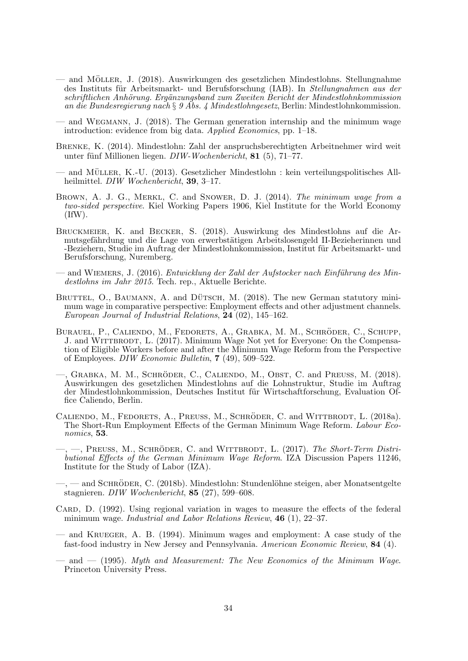- <span id="page-35-21"></span><span id="page-35-20"></span><span id="page-35-19"></span><span id="page-35-18"></span><span id="page-35-17"></span><span id="page-35-16"></span><span id="page-35-15"></span> $-$  and MÖLLER, J. (2018). Auswirkungen des gesetzlichen Mindestlohns. Stellungnahme des Instituts für Arbeitsmarkt- und Berufsforschung (IAB). In Stellungnahmen aus der  $schrifthichen Anhörunq. Ergänzungsband zum Zweiten Bericht der Mindestlohnkommission$ an die Bundesregierung nach § 9 Abs. 4 Mindestlohngesetz, Berlin: Mindestlohnkommission.
- <span id="page-35-14"></span>— and Wegmann, J. (2018). The German generation internship and the minimum wage introduction: evidence from big data. Applied Economics, pp. 1–18.
- <span id="page-35-0"></span>Brenke, K. (2014). Mindestlohn: Zahl der anspruchsberechtigten Arbeitnehmer wird weit unter fünf Millionen liegen.  $DIW-Wochenbericht$ , 81 (5), 71–77.
- <span id="page-35-2"></span>and MÜLLER, K.-U.  $(2013)$ . Gesetzlicher Mindestlohn : kein verteilungspolitisches Allheilmittel. DIW Wochenbericht, 39, 3–17.
- <span id="page-35-1"></span>BROWN, A. J. G., MERKL, C. and SNOWER, D. J. (2014). The minimum wage from a two-sided perspective. Kiel Working Papers 1906, Kiel Institute for the World Economy (IfW).
- <span id="page-35-13"></span>Bruckmeier, K. and Becker, S. (2018). Auswirkung des Mindestlohns auf die Armutsgefährdung und die Lage von erwerbstätigen Arbeitslosengeld II-Bezieherinnen und -Beziehern, Studie im Auftrag der Mindestlohnkommission, Institut für Arbeitsmarkt- und Berufsforschung, Nuremberg.
- <span id="page-35-6"></span>— and WIEMERS, J. (2016). *Entwicklung der Zahl der Aufstocker nach Einführung des Min*destlohns im Jahr 2015. Tech. rep., Aktuelle Berichte.
- <span id="page-35-5"></span>BRUTTEL, O., BAUMANN, A. and DÜTSCH, M.  $(2018)$ . The new German statutory minimum wage in comparative perspective: Employment effects and other adjustment channels. European Journal of Industrial Relations, 24 (02), 145–162.
- <span id="page-35-3"></span>BURAUEL, P., CALIENDO, M., FEDORETS, A., GRABKA, M. M., SCHRÖDER, C., SCHUPP, J. and WITTBRODT, L. (2017). Minimum Wage Not yet for Everyone: On the Compensation of Eligible Workers before and after the Minimum Wage Reform from the Perspective of Employees. DIW Economic Bulletin, 7 (49), 509–522.
- <span id="page-35-10"></span> $-$ , GRABKA, M. M., SCHRÖDER, C., CALIENDO, M., OBST, C. and PREUSS, M. (2018). Auswirkungen des gesetzlichen Mindestlohns auf die Lohnstruktur, Studie im Auftrag der Mindestlohnkommission, Deutsches Institut für Wirtschaftforschung, Evaluation Office Caliendo, Berlin.
- <span id="page-35-12"></span>CALIENDO, M., FEDORETS, A., PREUSS, M., SCHRÖDER, C. and WITTBRODT, L. (2018a). The Short-Run Employment Effects of the German Minimum Wage Reform. Labour Economics, 53.
- <span id="page-35-4"></span>, -, PREUSS, M., SCHRÖDER, C. and WITTBRODT, L. (2017). The Short-Term Distributional Effects of the German Minimum Wage Reform. IZA Discussion Papers 11246, Institute for the Study of Labor (IZA).
- <span id="page-35-11"></span> $-$ , — and SCHRÖDER, C. (2018b). Mindestlohn: Stundenlöhne steigen, aber Monatsentgelte stagnieren. DIW Wochenbericht, 85 (27), 599–608.
- <span id="page-35-9"></span>CARD, D. (1992). Using regional variation in wages to measure the effects of the federal minimum wage. *Industrial and Labor Relations Review*, **46** (1), 22–37.
- <span id="page-35-7"></span>— and Krueger, A. B. (1994). Minimum wages and employment: A case study of the fast-food industry in New Jersey and Pennsylvania. American Economic Review, 84 (4).
- <span id="page-35-8"></span> $-$  and  $-$  (1995). Myth and Measurement: The New Economics of the Minimum Wage. Princeton University Press.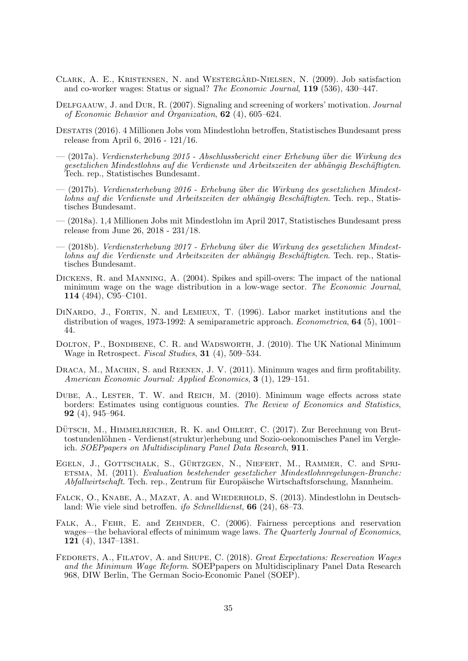- <span id="page-36-17"></span><span id="page-36-6"></span>CLARK, A. E., KRISTENSEN, N. and WESTERGÅRD-NIELSEN, N. (2009). Job satisfaction and co-worker wages: Status or signal? The Economic Journal, 119 (536), 430–447.
- <span id="page-36-7"></span>DELFGAAUW, J. and DUR, R. (2007). Signaling and screening of workers' motivation. *Journal* of Economic Behavior and Organization, 62 (4), 605–624.
- <span id="page-36-0"></span>Destatis (2016). 4 Millionen Jobs vom Mindestlohn betroffen, Statistisches Bundesamt press release from April 6, 2016 - 121/16.
- <span id="page-36-9"></span>— (2017a). Verdiensterhebung 2015 - Abschlussbericht einer Erhebung ¨uber die Wirkung des gesetzlichen Mindestlohns auf die Verdienste und Arbeitszeiten der abhängig Beschäftigten. Tech. rep., Statistisches Bundesamt.
- <span id="page-36-10"></span> $-$  (2017b). Verdiensterhebung 2016 - Erhebung über die Wirkung des gesetzlichen Mindestlohns auf die Verdienste und Arbeitszeiten der abhängig Beschäftigten. Tech. rep., Statistisches Bundesamt.
- <span id="page-36-13"></span>— (2018a). 1,4 Millionen Jobs mit Mindestlohn im April 2017, Statistisches Bundesamt press release from June 26, 2018 - 231/18.
- <span id="page-36-11"></span> $-$  (2018b). Verdiensterhebung 2017 - Erhebung über die Wirkung des gesetzlichen Mindestlohns auf die Verdienste und Arbeitszeiten der abhängig Beschäftigten. Tech. rep., Statistisches Bundesamt.
- <span id="page-36-4"></span>Dickens, R. and Manning, A. (2004). Spikes and spill-overs: The impact of the national minimum wage on the wage distribution in a low-wage sector. The Economic Journal, 114 (494), C95–C101.
- <span id="page-36-2"></span>DINARDO, J., FORTIN, N. and LEMIEUX, T. (1996). Labor market institutions and the distribution of wages, 1973-1992: A semiparametric approach. *Econometrica*, **64** (5), 1001– 44.
- <span id="page-36-15"></span>DOLTON, P., BONDIBENE, C. R. and WADSWORTH, J. (2010). The UK National Minimum Wage in Retrospect. Fiscal Studies, 31 (4), 509–534.
- <span id="page-36-5"></span>DRACA, M., MACHIN, S. and REENEN, J. V. (2011). Minimum wages and firm profitability. American Economic Journal: Applied Economics, 3 (1), 129–151.
- <span id="page-36-14"></span>DUBE, A., LESTER, T. W. and REICH, M. (2010). Minimum wage effects across state borders: Estimates using contiguous counties. The Review of Economics and Statistics, 92 (4), 945–964.
- <span id="page-36-12"></span>DÜTSCH, M., HIMMELREICHER, R. K. and OHLERT, C. (2017). Zur Berechnung von Bruttostundenlöhnen - Verdienst(struktur)erhebung und Sozio-oekonomisches Panel im Vergleich. SOEPpapers on Multidisciplinary Panel Data Research, 911.
- <span id="page-36-3"></span>EGELN, J., GOTTSCHALK, S., GÜRTZGEN, N., NIEFERT, M., RAMMER, C. and SPRIetsma, M. (2011). Evaluation bestehender gesetzlicher Mindestlohnregelungen-Branche: Abfallwirtschaft. Tech. rep., Zentrum für Europäische Wirtschaftsforschung, Mannheim.
- <span id="page-36-1"></span>FALCK, O., KNABE, A., MAZAT, A. and WIEDERHOLD, S. (2013). Mindestlohn in Deutschland: Wie viele sind betroffen. *ifo Schnelldienst*, **66** (24),  $68-73$ .
- <span id="page-36-8"></span>FALK, A., FEHR, E. and ZEHNDER, C. (2006). Fairness perceptions and reservation wages—the behavioral effects of minimum wage laws. The Quarterly Journal of Economics, 121 (4), 1347–1381.
- <span id="page-36-16"></span>FEDORETS, A., FILATOV, A. and SHUPE, C. (2018). Great Expectations: Reservation Wages and the Minimum Wage Reform. SOEPpapers on Multidisciplinary Panel Data Research 968, DIW Berlin, The German Socio-Economic Panel (SOEP).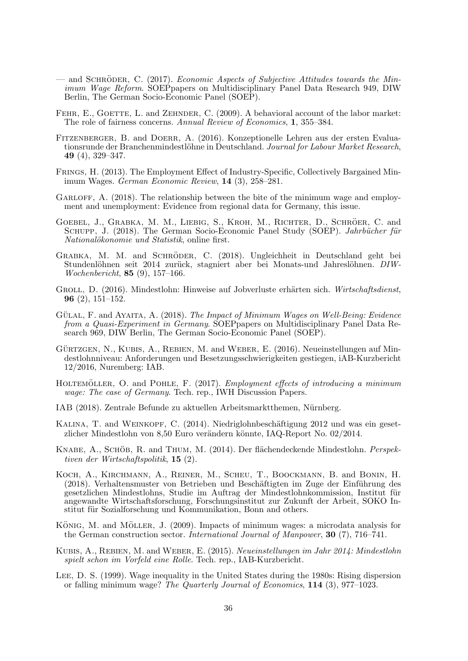- <span id="page-37-20"></span><span id="page-37-19"></span><span id="page-37-18"></span><span id="page-37-9"></span>— and SCHRÖDER, C.  $(2017)$ . Economic Aspects of Subjective Attitudes towards the Minimum Wage Reform. SOEPpapers on Multidisciplinary Panel Data Research 949, DIW Berlin, The German Socio-Economic Panel (SOEP).
- <span id="page-37-6"></span>FEHR, E., GOETTE, L. and ZEHNDER, C. (2009). A behavioral account of the labor market: The role of fairness concerns. Annual Review of Economics, 1, 355–384.
- <span id="page-37-3"></span>Fitzenberger, B. and Doerr, A. (2016). Konzeptionelle Lehren aus der ersten Evaluationsrunde der Branchenmindestlöhne in Deutschland. Journal for Labour Market Research, 49 (4), 329–347.
- <span id="page-37-4"></span>Frings, H. (2013). The Employment Effect of Industry-Specific, Collectively Bargained Minimum Wages. German Economic Review, 14 (3), 258–281.
- <span id="page-37-15"></span>GARLOFF, A. (2018). The relationship between the bite of the minimum wage and employment and unemployment: Evidence from regional data for Germany, this issue.
- <span id="page-37-7"></span>GOEBEL, J., GRABKA, M. M., LIEBIG, S., KROH, M., RICHTER, D., SCHRÖER, C. and SCHUPP, J. (2018). The German Socio-Economic Panel Study (SOEP). *Jahrbücher für* Nationalökonomie und Statistik, online first.
- <span id="page-37-12"></span>GRABKA, M. M. and SCHRÖDER, C. (2018). Ungleichheit in Deutschland geht bei Stundenlöhnen seit 2014 zurück, stagniert aber bei Monats-und Jahreslöhnen. DIW-Wochenbericht, 85 (9), 157–166.
- <span id="page-37-11"></span>GROLL, D. (2016). Mindestlohn: Hinweise auf Jobverluste erhärten sich. Wirtschaftsdienst, 96 (2), 151–152.
- <span id="page-37-17"></span>GÜLAL, F. and AYAITA, A.  $(2018)$ . The Impact of Minimum Wages on Well-Being: Evidence from a Quasi-Experiment in Germany. SOEPpapers on Multidisciplinary Panel Data Research 969, DIW Berlin, The German Socio-Economic Panel (SOEP).
- <span id="page-37-14"></span>GÜRTZGEN, N., KUBIS, A., REBIEN, M. and WEBER, E. (2016). Neueinstellungen auf Mindestlohnniveau: Anforderungen und Besetzungsschwierigkeiten gestiegen, iAB-Kurzbericht 12/2016, Nuremberg: IAB.
- <span id="page-37-16"></span>HOLTEMÖLLER, O. and POHLE, F. (2017). Employment effects of introducing a minimum wage: The case of Germany. Tech. rep., IWH Discussion Papers.
- <span id="page-37-13"></span>IAB (2018). Zentrale Befunde zu aktuellen Arbeitsmarktthemen, Nürnberg.
- <span id="page-37-0"></span>KALINA, T. and WEINKOPF, C. (2014). Niedriglohnbeschäftigung 2012 und was ein gesetzlicher Mindestlohn von 8,50 Euro verändern könnte, IAQ-Report No. 02/2014.
- <span id="page-37-2"></span>KNABE, A., SCHÖB, R. and THUM, M. (2014). Der flächendeckende Mindestlohn. Perspektiven der Wirtschaftspolitik, 15 (2).
- <span id="page-37-8"></span>Koch, A., Kirchmann, A., Reiner, M., Scheu, T., Boockmann, B. and Bonin, H. (2018). Verhaltensmuster von Betrieben und Beschäftigten im Zuge der Einführung des gesetzlichen Mindestlohns, Studie im Auftrag der Mindestlohnkommission, Institut für angewandte Wirtschaftsforschung, Forschungsinstitut zur Zukunft der Arbeit, SOKO Institut für Sozialforschung und Kommunikation, Bonn and others.
- <span id="page-37-5"></span>KÖNIG, M. and MÖLLER, J. (2009). Impacts of minimum wages: a microdata analysis for the German construction sector. International Journal of Manpower, 30 (7), 716–741.
- <span id="page-37-10"></span>Kubis, A., Rebien, M. and Weber, E. (2015). Neueinstellungen im Jahr 2014: Mindestlohn spielt schon im Vorfeld eine Rolle. Tech. rep., IAB-Kurzbericht.
- <span id="page-37-1"></span>Lee, D. S. (1999). Wage inequality in the United States during the 1980s: Rising dispersion or falling minimum wage? The Quarterly Journal of Economics, 114 (3), 977–1023.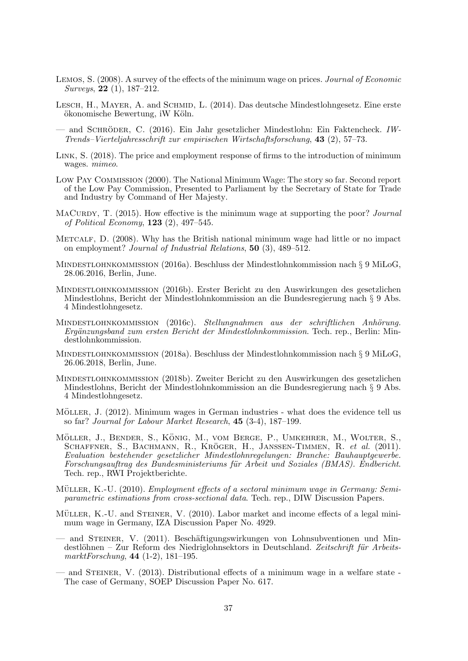- <span id="page-38-18"></span><span id="page-38-12"></span>Lemos, S. (2008). A survey of the effects of the minimum wage on prices. Journal of Economic Surveys, 22 (1), 187–212.
- <span id="page-38-0"></span>LESCH, H., MAYER, A. and SCHMID, L. (2014). Das deutsche Mindestlohngesetz. Eine erste ökonomische Bewertung, iW Köln.
- <span id="page-38-16"></span> $-$  and SCHRÖDER, C. (2016). Ein Jahr gesetzlicher Mindestlohn: Ein Faktencheck. IW-Trends–Vierteljahresschrift zur empirischen Wirtschaftsforschung, 43 (2), 57–73.
- <span id="page-38-17"></span>Link, S. (2018). The price and employment response of firms to the introduction of minimum wages. mimeo.
- <span id="page-38-15"></span>Low Pay Commission (2000). The National Minimum Wage: The story so far. Second report of the Low Pay Commission, Presented to Parliament by the Secretary of State for Trade and Industry by Command of Her Majesty.
- <span id="page-38-11"></span>MACURDY, T.  $(2015)$ . How effective is the minimum wage at supporting the poor? *Journal* of Political Economy, 123 (2), 497–545.
- <span id="page-38-10"></span>METCALF, D. (2008). Why has the British national minimum wage had little or no impact on employment? Journal of Industrial Relations, 50 (3), 489–512.
- <span id="page-38-8"></span>Mindestlohnkommission (2016a). Beschluss der Mindestlohnkommission nach § 9 MiLoG, 28.06.2016, Berlin, June.
- <span id="page-38-4"></span>Mindestlohnkommission (2016b). Erster Bericht zu den Auswirkungen des gesetzlichen Mindestlohns, Bericht der Mindestlohnkommission an die Bundesregierung nach § 9 Abs. 4 Mindestlohngesetz.
- <span id="page-38-14"></span>MINDESTLOHNKOMMISSION (2016c). Stellungnahmen aus der schriftlichen Anhörung. Ergänzungsband zum ersten Bericht der Mindestlohnkommission. Tech. rep., Berlin: Mindestlohnkommission.
- <span id="page-38-9"></span>Mindestlohnkommission (2018a). Beschluss der Mindestlohnkommission nach § 9 MiLoG, 26.06.2018, Berlin, June.
- <span id="page-38-13"></span>Mindestlohnkommission (2018b). Zweiter Bericht zu den Auswirkungen des gesetzlichen Mindestlohns, Bericht der Mindestlohnkommission an die Bundesregierung nach § 9 Abs. 4 Mindestlohngesetz.
- <span id="page-38-5"></span>MÖLLER, J. (2012). Minimum wages in German industries - what does the evidence tell us so far? Journal for Labour Market Research, 45 (3-4), 187–199.
- <span id="page-38-6"></span>MÖLLER, J., BENDER, S., KÖNIG, M., VOM BERGE, P., UMKEHRER, M., WOLTER, S., SCHAFFNER, S., BACHMANN, R., KRÖGER, H., JANSSEN-TIMMEN, R. et al. (2011). Evaluation bestehender gesetzlicher Mindestlohnregelungen: Branche: Bauhauptgewerbe. Forschungsauftrag des Bundesministeriums für Arbeit und Soziales (BMAS). Endbericht. Tech. rep., RWI Projektberichte.
- <span id="page-38-7"></span>MÜLLER, K.-U. (2010). *Employment effects of a sectoral minimum wage in Germany: Semi*parametric estimations from cross-sectional data. Tech. rep., DIW Discussion Papers.
- <span id="page-38-3"></span>MÜLLER, K.-U. and STEINER, V. (2010). Labor market and income effects of a legal minimum wage in Germany, IZA Discussion Paper No. 4929.
- <span id="page-38-1"></span>and STEINER, V. (2011). Beschäftigungswirkungen von Lohnsubventionen und Mindestlöhnen – Zur Reform des Niedriglohnsektors in Deutschland. Zeitschrift für ArbeitsmarktForschung, 44 (1-2), 181–195.
- <span id="page-38-2"></span>— and Steiner, V. (2013). Distributional effects of a minimum wage in a welfare state - The case of Germany, SOEP Discussion Paper No. 617.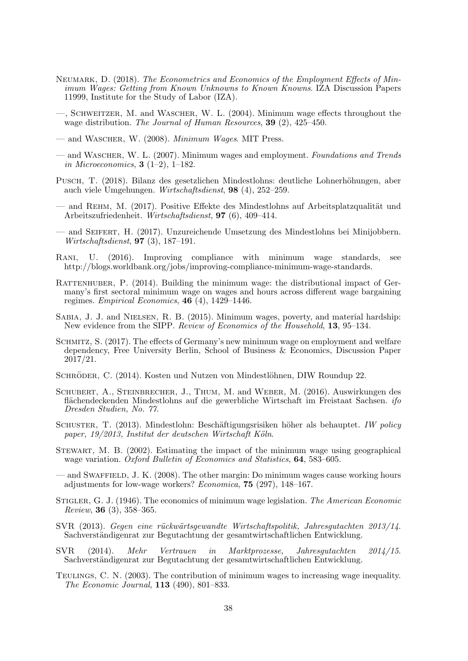- <span id="page-39-21"></span><span id="page-39-20"></span><span id="page-39-0"></span>Neumark, D. (2018). The Econometrics and Economics of the Employment Effects of Minimum Wages: Getting from Known Unknowns to Known Knowns. IZA Discussion Papers 11999, Institute for the Study of Labor (IZA).
- <span id="page-39-8"></span>—, Schweitzer, M. and Wascher, W. L. (2004). Minimum wage effects throughout the wage distribution. The Journal of Human Resources, 39 (2), 425–450.
- <span id="page-39-6"></span>— and WASCHER, W. (2008). *Minimum Wages*. MIT Press.
- <span id="page-39-19"></span>— and WASCHER, W. L. (2007). Minimum wages and employment. Foundations and Trends in Microeconomics, **3** (1–2), 1–182.
- <span id="page-39-12"></span>Pusch, T. (2018). Bilanz des gesetzlichen Mindestlohns: deutliche Lohnerhöhungen, aber auch viele Umgehungen. Wirtschaftsdienst, 98 (4), 252–259.
- <span id="page-39-18"></span>— and REHM, M.  $(2017)$ . Positive Effekte des Mindestlohns auf Arbeitsplatzqualität und Arbeitszufriedenheit. Wirtschaftsdienst, 97 (6), 409–414.
- <span id="page-39-13"></span>— and Seifert, H. (2017). Unzureichende Umsetzung des Mindestlohns bei Minijobbern. Wirtschaftsdienst, 97 (3), 187–191.
- <span id="page-39-14"></span>Rani, U. (2016). Improving compliance with minimum wage standards, see http://blogs.worldbank.org/jobs/improving-compliance-minimum-wage-standards.
- <span id="page-39-7"></span>RATTENHUBER, P. (2014). Building the minimum wage: the distributional impact of Germany's first sectoral minimum wage on wages and hours across different wage bargaining regimes. Empirical Economics,  $46$  (4), 1429–1446.
- <span id="page-39-9"></span>Sabia, J. J. and Nielsen, R. B. (2015). Minimum wages, poverty, and material hardship: New evidence from the SIPP. Review of Economics of the Household, 13, 95–134.
- <span id="page-39-17"></span>Schmitz, S. (2017). The effects of Germany's new minimum wage on employment and welfare dependency, Free University Berlin, School of Business & Economics, Discussion Paper 2017/21.
- <span id="page-39-2"></span>SCHRÖDER, C. (2014). Kosten und Nutzen von Mindestlöhnen, DIW Roundup 22.
- <span id="page-39-15"></span>Schubert, A., Steinbrecher, J., Thum, M. and Weber, M. (2016). Auswirkungen des flächendeckenden Mindestlohns auf die gewerbliche Wirtschaft im Freistaat Sachsen. *ifo* Dresden Studien, No. 77.
- <span id="page-39-4"></span>SCHUSTER, T. (2013). Mindestlohn: Beschäftigungsrisiken höher als behauptet. IW policy paper,  $19/2013$ , Institut der deutschen Wirtschaft Köln.
- <span id="page-39-16"></span>STEWART, M. B. (2002). Estimating the impact of the minimum wage using geographical wage variation. Oxford Bulletin of Economics and Statistics, **64**, 583–605.
- <span id="page-39-11"></span>— and Swaffield, J. K. (2008). The other margin: Do minimum wages cause working hours adjustments for low-wage workers? Economica, 75 (297), 148–167.
- <span id="page-39-10"></span>STIGLER, G. J. (1946). The economics of minimum wage legislation. The American Economic Review, 36 (3), 358–365.
- <span id="page-39-3"></span>SVR (2013). Gegen eine rückwärtsgewandte Wirtschaftspolitik, Jahresgutachten 2013/14. Sachverständigenrat zur Begutachtung der gesamtwirtschaftlichen Entwicklung.
- <span id="page-39-5"></span>SVR (2014). Mehr Vertrauen in Marktprozesse, Jahresgutachten 2014/15. Sachverständigenrat zur Begutachtung der gesamtwirtschaftlichen Entwicklung.
- <span id="page-39-1"></span>Teulings, C. N. (2003). The contribution of minimum wages to increasing wage inequality. The Economic Journal, 113 (490), 801–833.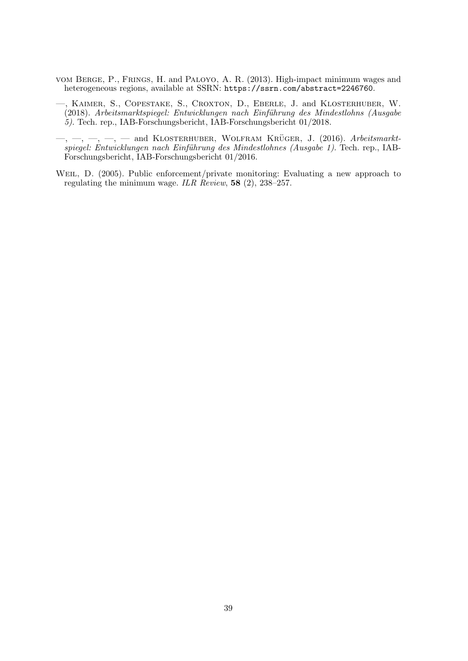- <span id="page-40-0"></span>vom Berge, P., Frings, H. and Paloyo, A. R. (2013). High-impact minimum wages and heterogeneous regions, available at SSRN: <https://ssrn.com/abstract=2246760>.
- <span id="page-40-3"></span>—, Kaimer, S., Copestake, S., Croxton, D., Eberle, J. and Klosterhuber, W. (2018). Arbeitsmarktspiegel: Entwicklungen nach Einführung des Mindestlohns (Ausgabe 5). Tech. rep., IAB-Forschungsbericht, IAB-Forschungsbericht 01/2018.
- <span id="page-40-2"></span> $-$ ,  $-$ ,  $-$ ,  $-$ ,  $-$  and KLOSTERHUBER, WOLFRAM KRÜGER, J. (2016). Arbeitsmarktspiegel: Entwicklungen nach Einführung des Mindestlohnes (Ausgabe 1). Tech. rep., IAB-Forschungsbericht, IAB-Forschungsbericht 01/2016.
- <span id="page-40-1"></span>WEIL, D. (2005). Public enforcement/private monitoring: Evaluating a new approach to regulating the minimum wage. ILR Review, 58 (2), 238–257.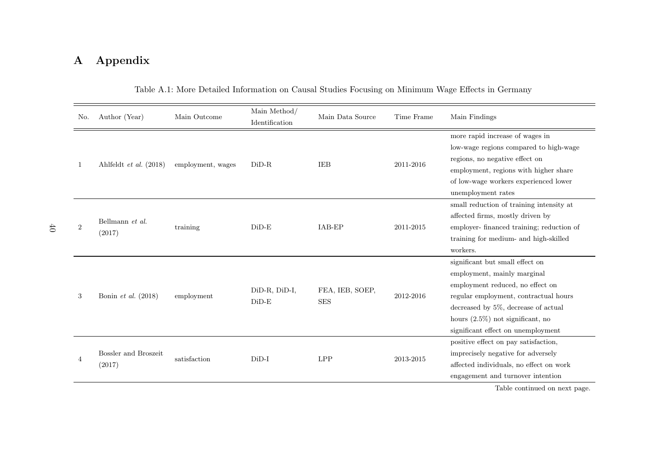## A Appendix

| No.            | Author (Year)                                | Main Outcome      | Main Method/<br>Identification | Main Data Source              | Time Frame | Main Findings                                                                                                                                                                                                                                                   |
|----------------|----------------------------------------------|-------------------|--------------------------------|-------------------------------|------------|-----------------------------------------------------------------------------------------------------------------------------------------------------------------------------------------------------------------------------------------------------------------|
| 1              | Ahlfeldt et al. $(2018)$                     | employment, wages | $DiD-R$                        | <b>IEB</b>                    | 2011-2016  | more rapid increase of wages in<br>low-wage regions compared to high-wage<br>regions, no negative effect on<br>employment, regions with higher share<br>of low-wage workers experienced lower<br>unemployment rates                                             |
| $\overline{2}$ | Bellmann et al.<br>(2017)                    | training          | $DiD-E$                        | IAB-EP                        | 2011-2015  | small reduction of training intensity at<br>affected firms, mostly driven by<br>employer- financed training; reduction of<br>training for medium- and high-skilled<br>workers.                                                                                  |
| 3              | Bonin et al. $(2018)$                        | employment        | DiD-R, DiD-I,<br>$DiD-E$       | FEA, IEB, SOEP,<br><b>SES</b> | 2012-2016  | significant but small effect on<br>employment, mainly marginal<br>employment reduced, no effect on<br>regular employment, contractual hours<br>decreased by 5%, decrease of actual<br>hours $(2.5\%)$ not significant, no<br>significant effect on unemployment |
| $\overline{4}$ | <b>Bossler</b> and <b>Broszeit</b><br>(2017) | satisfaction      | $DiD-I$                        | <b>LPP</b>                    | 2013-2015  | positive effect on pay satisfaction,<br>imprecisely negative for adversely<br>affected individuals, no effect on work<br>engagement and turnover intention<br>Takla agustinud an nom na ga                                                                      |

Table A.1: More Detailed Information on Causal Studies Focusing on Minimum Wage Effects in Germany

Table continued on next page.

 $40\,$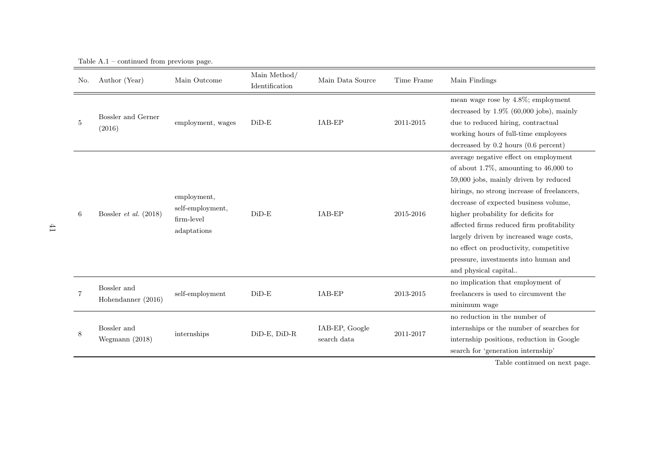| No. | Author (Year)                     | Main Outcome                                                 | Main Method/<br>Identification | Main Data Source              | Time Frame | Main Findings                                                                                                                                                                                                                                                                                                                                                                                                                                              |
|-----|-----------------------------------|--------------------------------------------------------------|--------------------------------|-------------------------------|------------|------------------------------------------------------------------------------------------------------------------------------------------------------------------------------------------------------------------------------------------------------------------------------------------------------------------------------------------------------------------------------------------------------------------------------------------------------------|
| 5   | Bossler and Gerner<br>(2016)      | employment, wages                                            | $DiD-E$                        | IAB-EP                        | 2011-2015  | mean wage rose by 4.8%; employment<br>decreased by $1.9\%$ (60,000 jobs), mainly<br>due to reduced hiring, contractual<br>working hours of full-time employees<br>decreased by $0.2$ hours $(0.6$ percent)                                                                                                                                                                                                                                                 |
| 6   | Bossler <i>et al.</i> $(2018)$    | employment,<br>self-employment,<br>firm-level<br>adaptations | $DiD-E$                        | IAB-EP                        | 2015-2016  | average negative effect on employment<br>of about 1.7%, amounting to $46,000$ to<br>59,000 jobs, mainly driven by reduced<br>hirings, no strong increase of freelancers,<br>decrease of expected business volume,<br>higher probability for deficits for<br>affected firms reduced firm profitability<br>largely driven by increased wage costs,<br>no effect on productivity, competitive<br>pressure, investments into human and<br>and physical capital |
| 7   | Bossler and<br>Hohendanner (2016) | self-employment                                              | $DiD-E$                        | IAB-EP                        | 2013-2015  | no implication that employment of<br>freelancers is used to circumvent the<br>minimum wage                                                                                                                                                                                                                                                                                                                                                                 |
| 8   | Bossler and<br>Wegmann $(2018)$   | internships                                                  | DiD-E, DiD-R                   | IAB-EP, Google<br>search data | 2011-2017  | no reduction in the number of<br>internships or the number of searches for<br>internship positions, reduction in Google<br>search for 'generation internship'                                                                                                                                                                                                                                                                                              |

Table A.1 – continued from previous page.

Table continued on next page.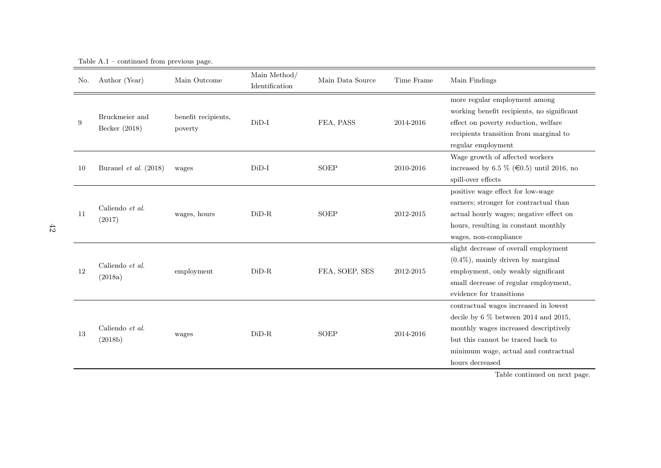| No. | Author (Year)                   | Main Outcome                   | Main Method/<br>Identification | Main Data Source | Time Frame | Main Findings                                                                                                                                                                                                            |
|-----|---------------------------------|--------------------------------|--------------------------------|------------------|------------|--------------------------------------------------------------------------------------------------------------------------------------------------------------------------------------------------------------------------|
| 9   | Bruckmeier and<br>Becker (2018) | benefit recipients,<br>poverty | $DiD-I$                        | FEA, PASS        | 2014-2016  | more regular employment among<br>working benefit recipients, no significant<br>effect on poverty reduction, welfare<br>recipients transition from marginal to<br>regular employment                                      |
| 10  | Burauel et al. $(2018)$         | wages                          | $DiD-I$                        | <b>SOEP</b>      | 2010-2016  | Wage growth of affected workers<br>increased by 6.5 $\%$ ( $\in$ 0.5) until 2016, no<br>spill-over effects                                                                                                               |
| 11  | Caliendo et al.<br>(2017)       | wages, hours                   | $DiD-R$                        | <b>SOEP</b>      | 2012-2015  | positive wage effect for low-wage<br>earners; stronger for contractual than<br>actual hourly wages; negative effect on<br>hours, resulting in constant monthly<br>wages, non-compliance                                  |
| 12  | Caliendo et al.<br>(2018a)      | employment                     | $DiD-R$                        | FEA, SOEP, SES   | 2012-2015  | slight decrease of overall employment<br>$(0.4\%)$ , mainly driven by marginal<br>employment, only weakly significant<br>small decrease of regular employment,<br>evidence for transitions                               |
| 13  | Caliendo et al.<br>(2018b)      | wages                          | $DiD-R$                        | <b>SOEP</b>      | 2014-2016  | contractual wages increased in lowest<br>decile by $6\%$ between 2014 and 2015,<br>monthly wages increased descriptively<br>but this cannot be traced back to<br>minimum wage, actual and contractual<br>hours decreased |

Table A.1 – continued from previous page.

Table continued on next page.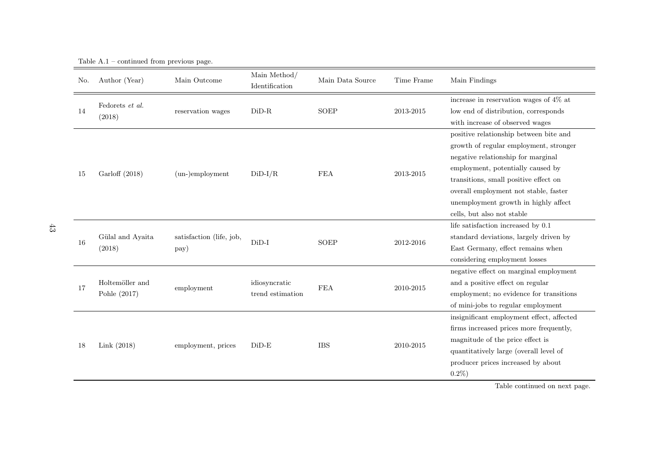| No. | Author (Year)                   | Main Outcome                     | Main Method/<br>Identification    | Main Data Source | Time Frame | Main Findings                                                                                                                                                                                                                                                                                                       |
|-----|---------------------------------|----------------------------------|-----------------------------------|------------------|------------|---------------------------------------------------------------------------------------------------------------------------------------------------------------------------------------------------------------------------------------------------------------------------------------------------------------------|
| 14  | Fedorets et al.<br>(2018)       | reservation wages                | $DiD-R$                           | <b>SOEP</b>      | 2013-2015  | increase in reservation wages of $4\%$ at<br>low end of distribution, corresponds<br>with increase of observed wages                                                                                                                                                                                                |
| 15  | Garloff (2018)                  | $(un-)employment$                | $DiD-I/R$                         | <b>FEA</b>       | 2013-2015  | positive relationship between bite and<br>growth of regular employment, stronger<br>negative relationship for marginal<br>employment, potentially caused by<br>transitions, small positive effect on<br>overall employment not stable, faster<br>unemployment growth in highly affect<br>cells, but also not stable |
| 16  | Gülal and Ayaita<br>(2018)      | satisfaction (life, job,<br>pay) | $DiD-I$                           | <b>SOEP</b>      | 2012-2016  | life satisfaction increased by 0.1<br>standard deviations, largely driven by<br>East Germany, effect remains when<br>considering employment losses                                                                                                                                                                  |
| 17  | Holtemöller and<br>Pohle (2017) | employment                       | idiosyncratic<br>trend estimation | <b>FEA</b>       | 2010-2015  | negative effect on marginal employment<br>and a positive effect on regular<br>employment; no evidence for transitions<br>of mini-jobs to regular employment                                                                                                                                                         |
| 18  | Link $(2018)$                   | employment, prices               | $DiD-E$                           | <b>IBS</b>       | 2010-2015  | insignificant employment effect, affected<br>firms increased prices more frequently,<br>magnitude of the price effect is<br>quantitatively large (overall level of<br>producer prices increased by about<br>$0.2\%$ )                                                                                               |

Table A.1 – continued from previous page.

Table continued on next page.